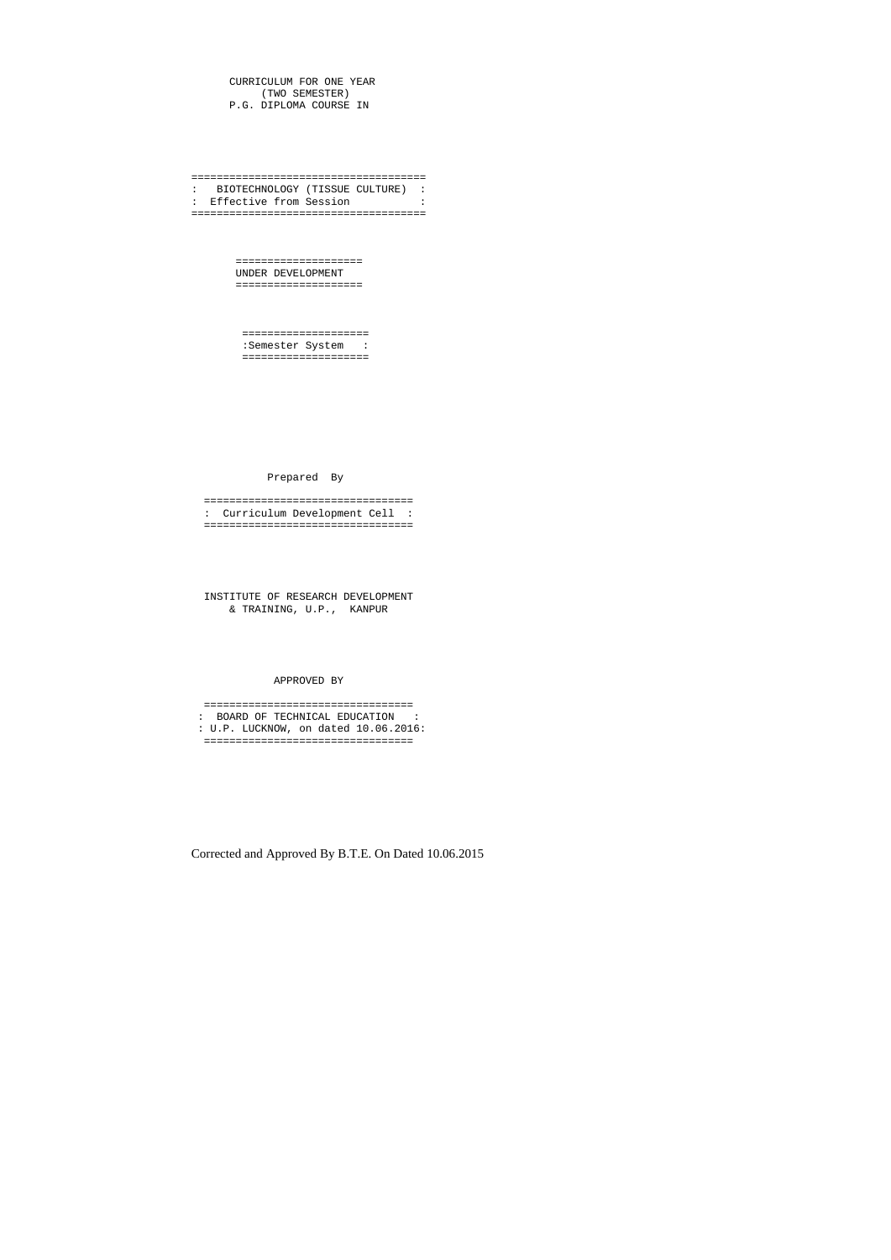CURRICULUM FOR ONE YEAR (TWO SEMESTER) P.G. DIPLOMA COURSE IN

===================================== : BIOTECHNOLOGY (TISSUE CULTURE) : : Effective from Session : =====================================

> ==================== UNDER DEVELOPMENT ====================

 ==================== :Semester System : ====================

Prepared By

 ================================= : Curriculum Development Cell : =================================

 INSTITUTE OF RESEARCH DEVELOPMENT & TRAINING, U.P., KANPUR

APPROVED BY

 ================================= : BOARD OF TECHNICAL EDUCATION : : U.P. LUCKNOW, on dated 10.06.2016: =================================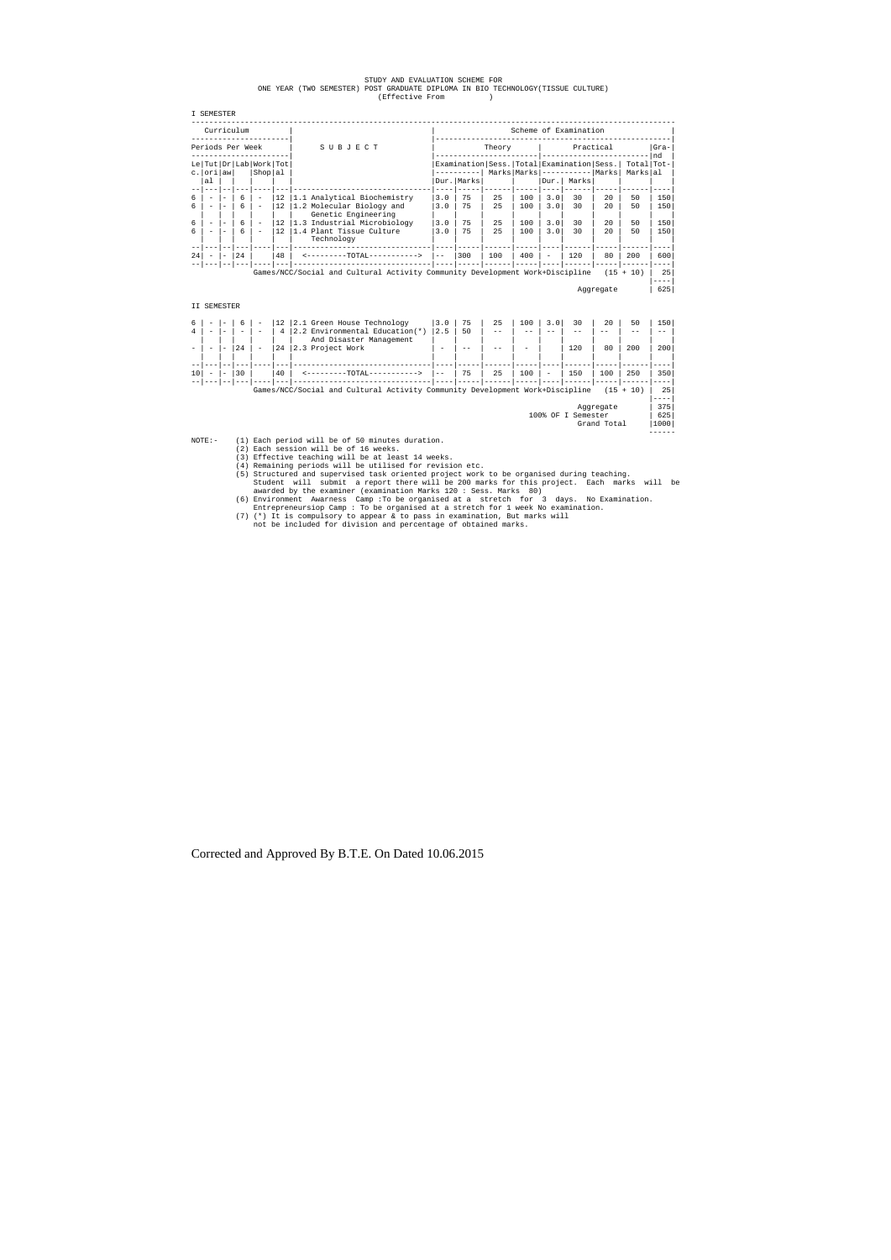# STUDY AND EVALUATION SCHEME FOR ONE YEAR (TWO SEMESTER) POST GRADUATE DIPLOMA IN BIO TECHNOLOGY(TISSUE CULTURE) (Effective From )

|         | I SEMESTER                                                                                      |  |                  |                                               |                       |                                                          |                                                                                 |              |          |            |            |          |                        |          |            |
|---------|-------------------------------------------------------------------------------------------------|--|------------------|-----------------------------------------------|-----------------------|----------------------------------------------------------|---------------------------------------------------------------------------------|--------------|----------|------------|------------|----------|------------------------|----------|------------|
|         | Curriculum                                                                                      |  |                  |                                               | Scheme of Examination |                                                          |                                                                                 |              |          |            |            |          |                        |          |            |
|         |                                                                                                 |  | Periods Per Week |                                               |                       | SUBJECT                                                  | Practical<br>Theory                                                             |              |          |            |            |          | $Gra-$<br>nd           |          |            |
|         | c. ori aw                                                                                       |  |                  | Le   Tut   Dr   Lab   Work   Tot  <br>Shop al |                       |                                                          | Examination   Sess.   Total   Examination   Sess.  <br>$Marks$ $Marks$ $------$ |              |          |            |            | Marks    | Total Tot-<br>Markslal |          |            |
|         | al                                                                                              |  |                  |                                               |                       |                                                          |                                                                                 | Dur.   Marks |          |            | Dur.       | Marks    |                        |          |            |
| б.<br>6 |                                                                                                 |  | 6<br>6           | $\overline{\phantom{a}}$                      | 12<br>12              | 1.1 Analytical Biochemistry<br>1.2 Molecular Biology and | 3.0<br>3.0                                                                      | 75<br>75     | 25<br>25 | 100<br>100 | 3.0<br>3.0 | 30<br>30 | 2.0<br>2.0             | 50<br>50 | 150<br>150 |
| 6       |                                                                                                 |  | 6                | $\overline{\phantom{a}}$                      | 12                    | Genetic Engineering<br>1.3 Industrial Microbiology       | 3.0                                                                             | 75           | 25       | 100        | 3.0        | 30       | 2.0                    | 50       | 150        |
| 6       |                                                                                                 |  | 6                |                                               | 12.                   | 1.4 Plant Tissue Culture<br>Technology                   | 3.0                                                                             | 75           | 25       | 100        | 3.0        | 30       | 2.0                    | 50       | 150        |
| 24      |                                                                                                 |  | 24               |                                               | 48                    | <--------TOTAL----------->                               | $- -$                                                                           | 300          | 100      | 400        |            | 120      | 80                     | 200      | 600        |
|         | Games/NCC/Social and Cultural Activity Community Development Work+Discipline<br>$+ 10)$<br>(15) |  |                  |                                               |                       | 25<br>----                                               |                                                                                 |              |          |            |            |          |                        |          |            |
|         |                                                                                                 |  |                  |                                               |                       |                                                          |                                                                                 |              |          |            |            |          | Aqqreqate              |          | 625        |

|  | SEMESTER |
|--|----------|
|--|----------|

|    | $\overline{\phantom{a}}$ | $\overline{\phantom{a}}$ | $\qquad \qquad$ | $\overline{\phantom{a}}$ | 12 <sup>°</sup><br>$4\overline{ }$ | 2.1 Green House Technology<br>2.2 Environmental Education(*)                 | 3.0<br>2.5 | 75<br>50 | 25<br>$ -$ | 100<br>- -               | 30  | 20  | 50<br>- -   | 150<br>-- |  |
|----|--------------------------|--------------------------|-----------------|--------------------------|------------------------------------|------------------------------------------------------------------------------|------------|----------|------------|--------------------------|-----|-----|-------------|-----------|--|
|    |                          |                          | 2.4             |                          | 24                                 | And Disaster Management<br>2.3 Project Work                                  | $\sim$     |          |            | $\overline{\phantom{a}}$ | 120 | 80  | 200         | 200       |  |
|    |                          |                          |                 |                          |                                    |                                                                              |            |          |            |                          |     |     |             |           |  |
| 10 |                          | $\qquad \qquad$          | 30              |                          | 40                                 | -TOTAL-                                                                      | $- -$      | 75       | 25         | 100                      | 150 | 100 | 250         | 350       |  |
|    |                          |                          |                 |                          |                                    |                                                                              |            |          |            |                          |     |     |             |           |  |
|    |                          |                          |                 |                          |                                    | Games/NCC/Social and Cultural Activity Community Development Work+Discipline |            |          |            |                          |     |     | $(15 + 10)$ | 25        |  |
|    |                          |                          |                 |                          |                                    |                                                                              |            |          |            |                          |     |     |             |           |  |

Aggregate | 375|

100% OF I Semester | 625<br>| Grand Total | 1000

Grand Total

NOTE:- (1) Each period will be of 50 minutes duration.<br>
(2) Each session will be of 16 weeks.<br>
(3) Effective teaching will be at least 14 weeks.<br>
(4) Remaining periods will be utilised for revision etc.

(5) Structured and supervised task oriented project work to be organised during teaching.<br>Student will submit a report there will be 200 marks for this project. Each marks will be<br>awarded by the examiner (examination Mark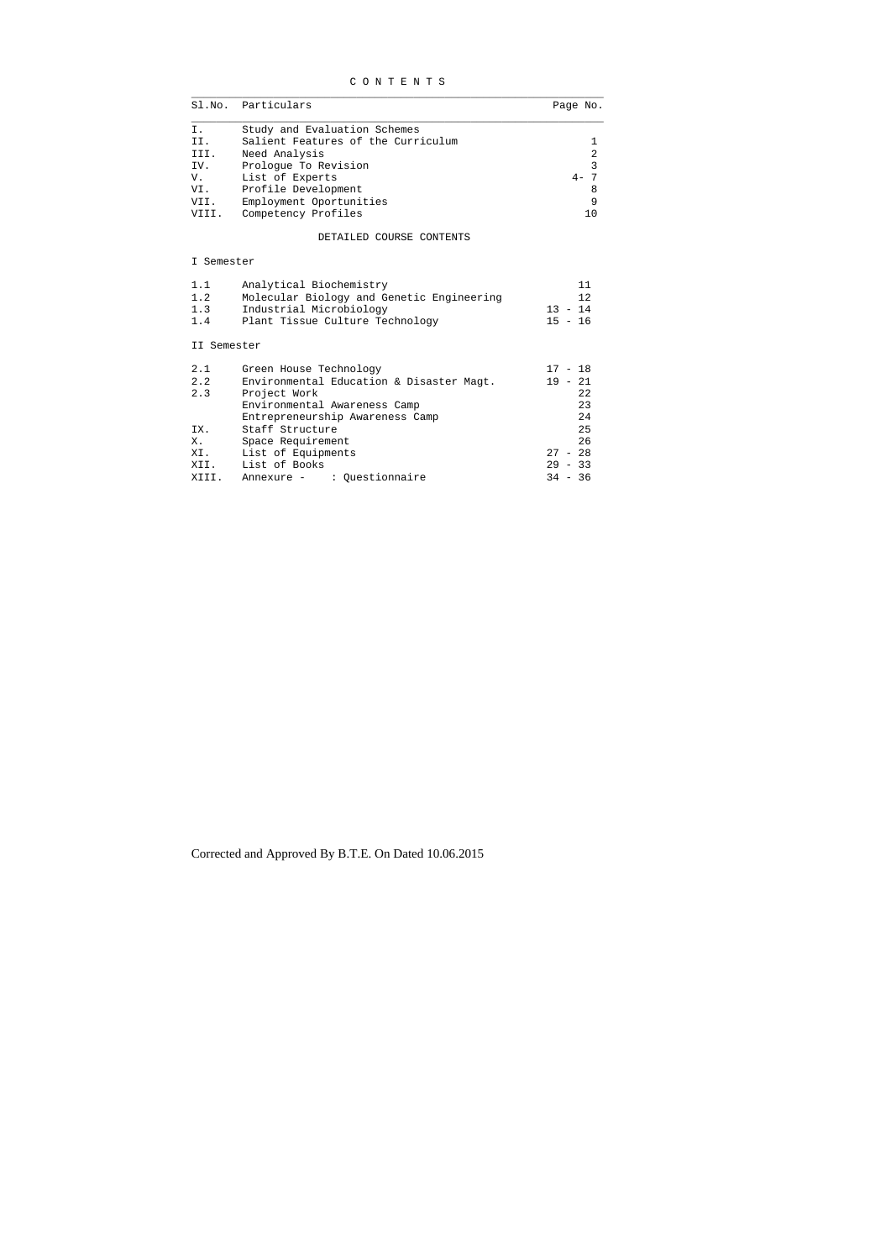|  | CONTENTS |  |  |  |  |  |  |  |  |
|--|----------|--|--|--|--|--|--|--|--|
|--|----------|--|--|--|--|--|--|--|--|

|       | Sl.No. Particulars                 | Page No. |
|-------|------------------------------------|----------|
| Ι.    | Study and Evaluation Schemes       |          |
| II.   | Salient Features of the Curriculum |          |
| III.  | Need Analysis                      | 2        |
| IV.   | Prologue To Revision               | 3        |
| V.    | List of Experts                    | $4-$     |
| VI.   | Profile Development                | 8        |
| VII.  | Employment Oportunities            | 9        |
| VIII. | Competency Profiles                |          |

DETAILED COURSE CONTENTS

## I Semester

| 1.1 | Analytical Biochemistry                   |           |
|-----|-------------------------------------------|-----------|
| 1.2 | Molecular Biology and Genetic Engineering | 12        |
| 1.3 | Industrial Microbiology                   | $13 - 14$ |
| 1.4 | Plant Tissue Culture Technology           | $15 - 16$ |
|     |                                           |           |

## II Semester

| 2.1   | Green House Technology                   | $17 - 18$ |    |
|-------|------------------------------------------|-----------|----|
| 2.2   | Environmental Education & Disaster Magt. | $19 - 21$ |    |
| 2.3   | Project Work                             |           | 22 |
|       | Environmental Awareness Camp             |           | 23 |
|       | Entrepreneurship Awareness Camp          |           | 24 |
| IX.   | Staff Structure                          |           | 25 |
| Х.    | Space Requirement                        |           | 26 |
| XI.   | List of Equipments                       | $27 - 28$ |    |
| XII.  | List of Books                            | $29 - 33$ |    |
| XIII. | Annexure - : Ouestionnaire               | $34 - 36$ |    |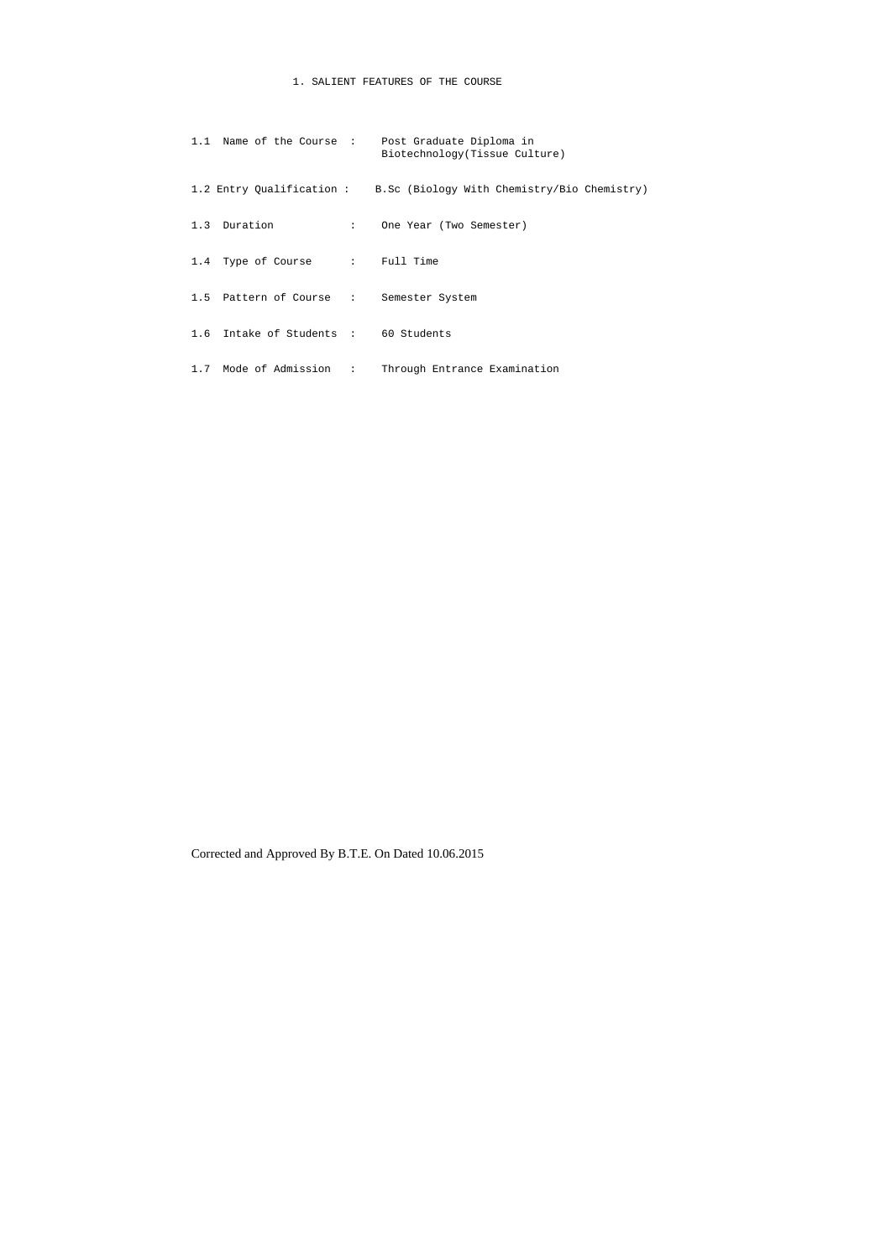## 1. SALIENT FEATURES OF THE COURSE

|                                         | 1.1 Name of the Course : Post Graduate Diploma in<br>Biotechnology (Tissue Culture) |
|-----------------------------------------|-------------------------------------------------------------------------------------|
|                                         | 1.2 Entry Qualification: B.Sc (Biology With Chemistry/Bio Chemistry)                |
| 1.3 Duration                            | : One Year (Two Semester)                                                           |
| 1.4 Type of Course : Full Time          |                                                                                     |
| 1.5 Pattern of Course : Semester System |                                                                                     |
| 1.6 Intake of Students : 60 Students    |                                                                                     |
| 1.7 Mode of Admission :                 | Through Entrance Examination                                                        |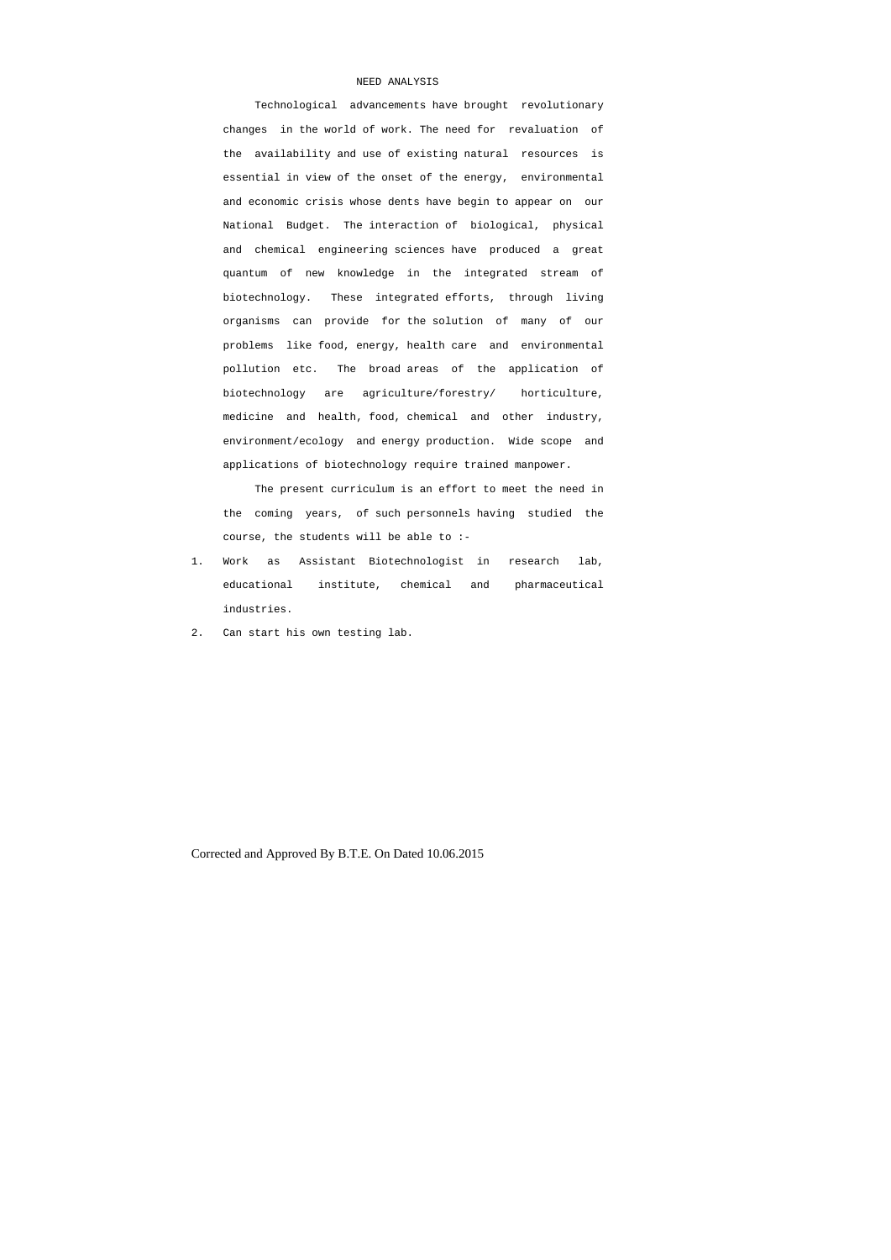## NEED ANALYSIS

 Technological advancements have brought revolutionary changes in the world of work. The need for revaluation of the availability and use of existing natural resources is essential in view of the onset of the energy, environmental and economic crisis whose dents have begin to appear on our National Budget. The interaction of biological, physical and chemical engineering sciences have produced a great quantum of new knowledge in the integrated stream of biotechnology. These integrated efforts, through living organisms can provide for the solution of many of our problems like food, energy, health care and environmental pollution etc. The broad areas of the application of biotechnology are agriculture/forestry/ horticulture, medicine and health, food, chemical and other industry, environment/ecology and energy production. Wide scope and applications of biotechnology require trained manpower.

 The present curriculum is an effort to meet the need in the coming years, of such personnels having studied the course, the students will be able to :-

- 1. Work as Assistant Biotechnologist in research lab, educational institute, chemical and pharmaceutical industries.
- 2. Can start his own testing lab.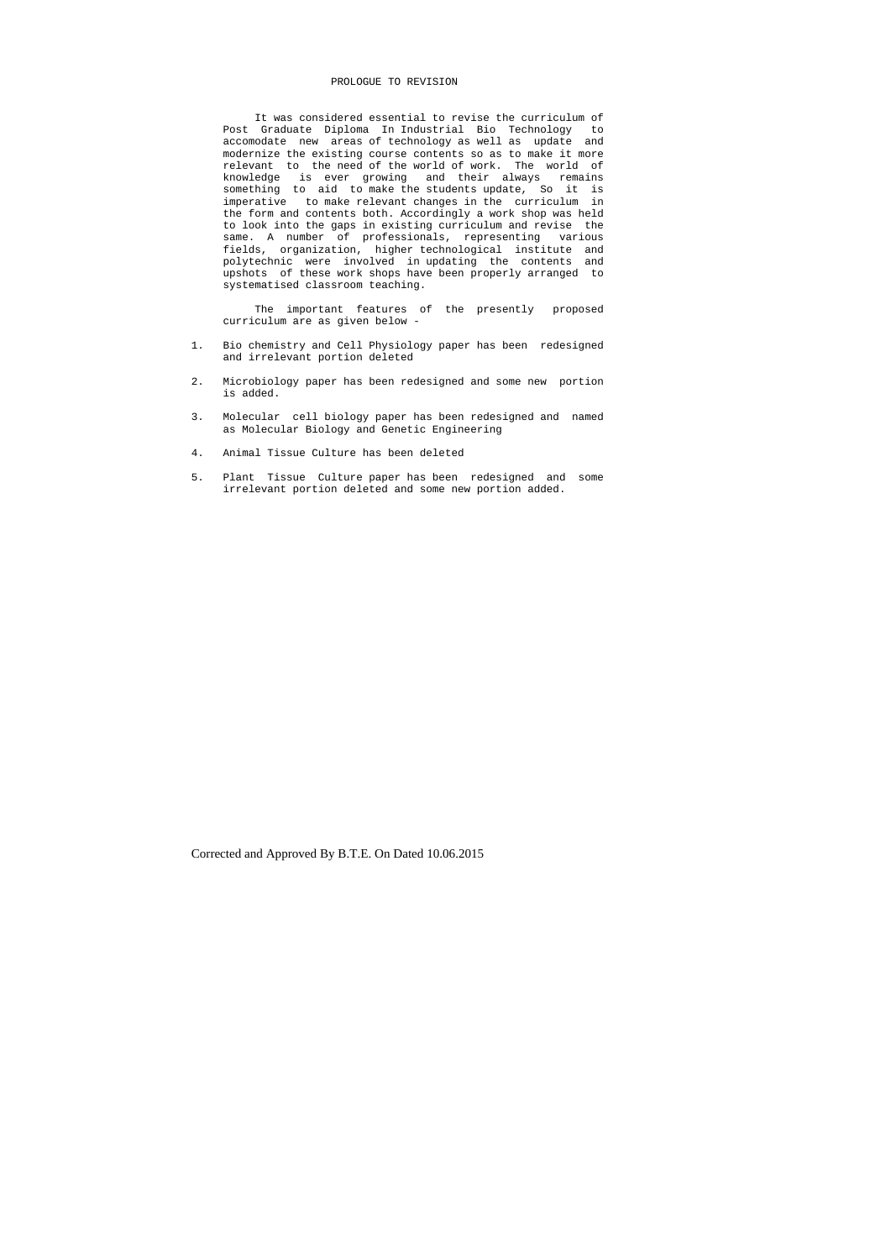#### PROLOGUE TO REVISION

 It was considered essential to revise the curriculum of Post Graduate Diploma In Industrial Bio Technology to accomodate new areas of technology as well as update and modernize the existing course contents so as to make it more relevant to the need of the world of work. The world of knowledge is ever growing and their always remains something to aid to make the students update, So it is imperative to make relevant changes in the curriculum in the form and contents both. Accordingly a work shop was held to look into the gaps in existing curriculum and revise the same. A number of professionals, representing various fields, organization, higher technological institute and polytechnic were involved in updating the contents and upshots of these work shops have been properly arranged to systematised classroom teaching.

 The important features of the presently proposed curriculum are as given below -

- 1. Bio chemistry and Cell Physiology paper has been redesigned and irrelevant portion deleted
- 2. Microbiology paper has been redesigned and some new portion is added.
- 3. Molecular cell biology paper has been redesigned and named as Molecular Biology and Genetic Engineering
- 4. Animal Tissue Culture has been deleted
- 5. Plant Tissue Culture paper has been redesigned and some irrelevant portion deleted and some new portion added.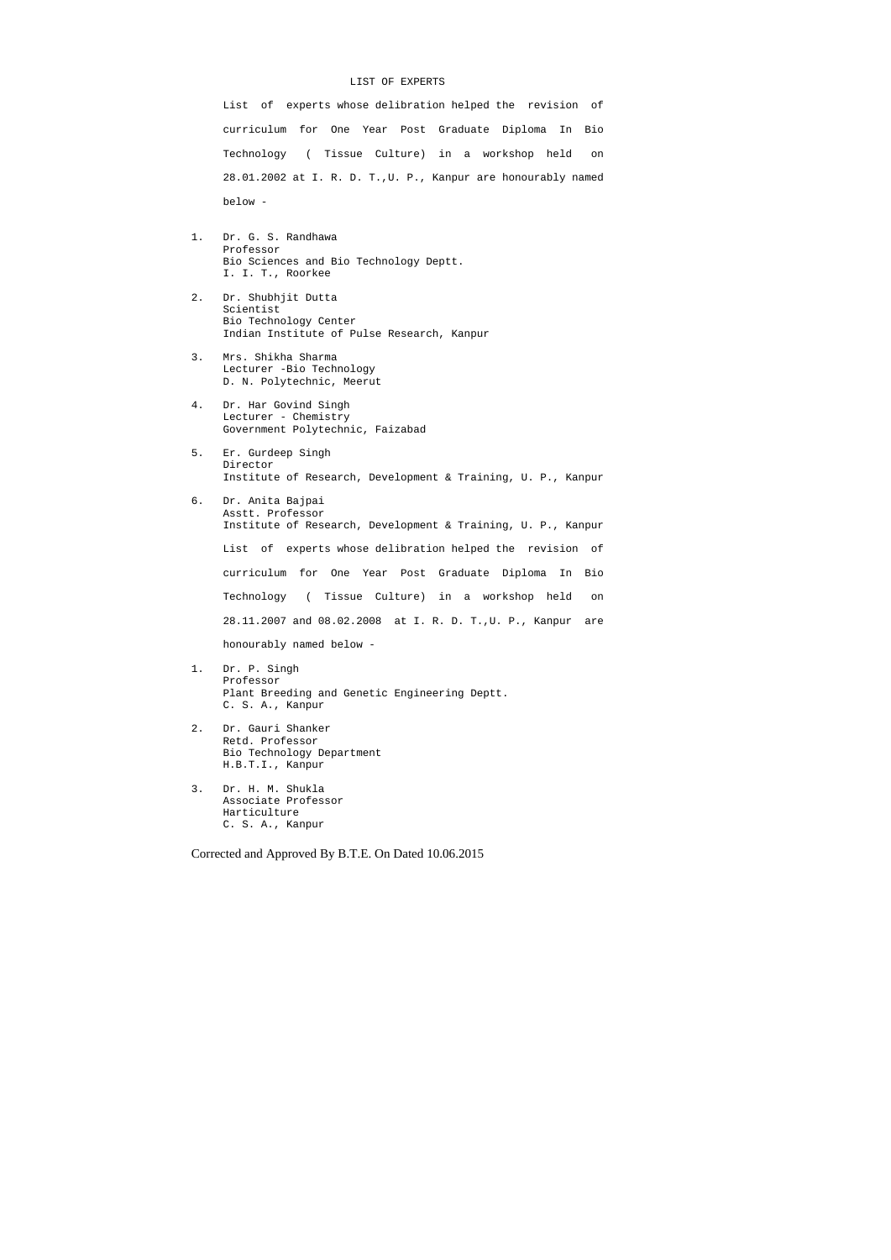#### LIST OF EXPERTS

 List of experts whose delibration helped the revision of curriculum for One Year Post Graduate Diploma In Bio Technology ( Tissue Culture) in a workshop held on 28.01.2002 at I. R. D. T.,U. P., Kanpur are honourably named below -

- 1. Dr. G. S. Randhawa Professor Bio Sciences and Bio Technology Deptt. I. I. T., Roorkee
- 2. Dr. Shubhjit Dutta Scientist Bio Technology Center Indian Institute of Pulse Research, Kanpur
- 3. Mrs. Shikha Sharma Lecturer -Bio Technology D. N. Polytechnic, Meerut
- 4. Dr. Har Govind Singh Lecturer - Chemistry Government Polytechnic, Faizabad
- 5. Er. Gurdeep Singh Director Institute of Research, Development & Training, U. P., Kanpur
- 6. Dr. Anita Bajpai Asstt. Professor Institute of Research, Development & Training, U. P., Kanpur List of experts whose delibration helped the revision of

 curriculum for One Year Post Graduate Diploma In Bio Technology ( Tissue Culture) in a workshop held on 28.11.2007 and 08.02.2008 at I. R. D. T.,U. P., Kanpur are

honourably named below -

- 1. Dr. P. Singh Professor Plant Breeding and Genetic Engineering Deptt. C. S. A., Kanpur
- 2. Dr. Gauri Shanker Retd. Professor Bio Technology Department H.B.T.I., Kanpur
- 3. Dr. H. M. Shukla Associate Professor Harticulture C. S. A., Kanpur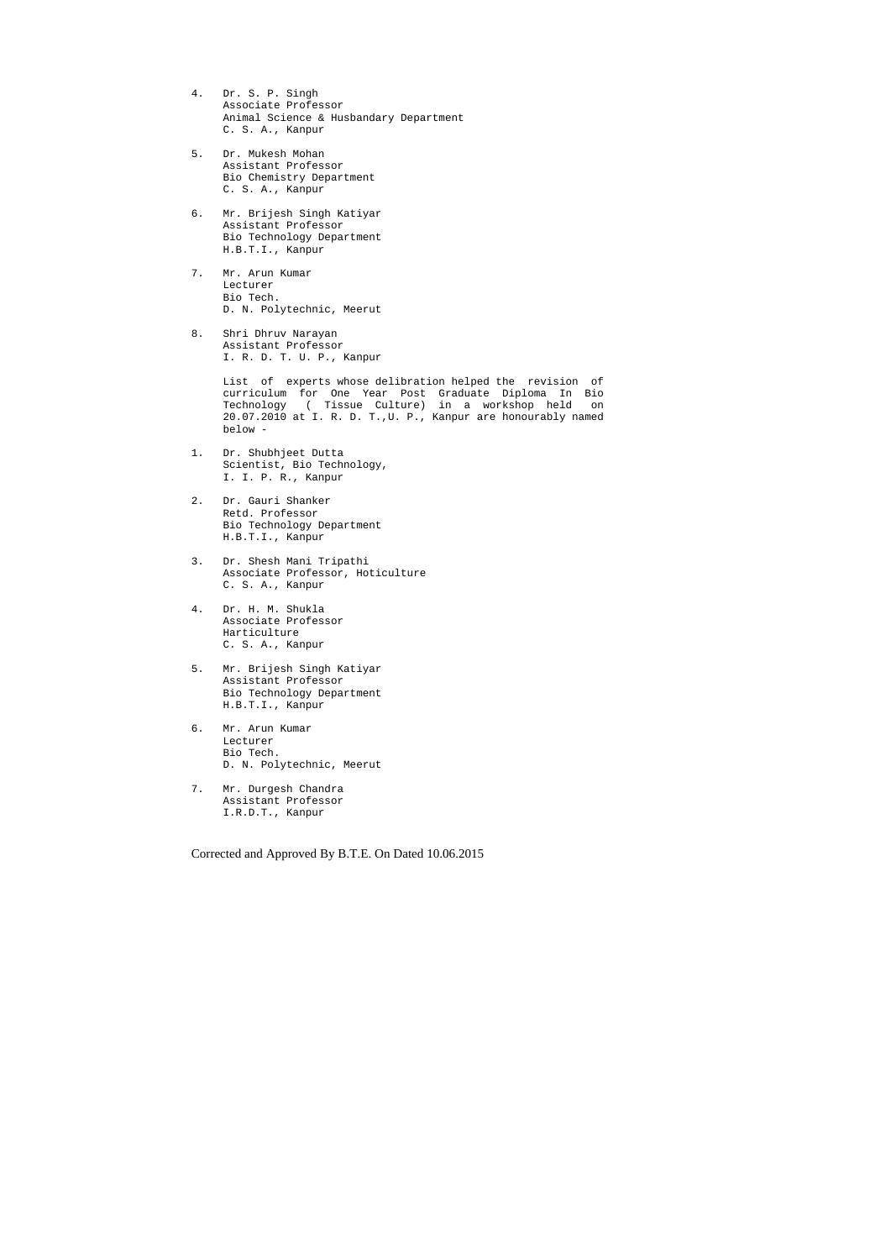- 4. Dr. S. P. Singh Associate Professor Animal Science & Husbandary Department C. S. A., Kanpur
- 5. Dr. Mukesh Mohan Assistant Professor Bio Chemistry Department C. S. A., Kanpur
- 6. Mr. Brijesh Singh Katiyar Assistant Professor Bio Technology Department H.B.T.I., Kanpur
- 7. Mr. Arun Kumar Lecturer Bio Tech. D. N. Polytechnic, Meerut
- 8. Shri Dhruv Narayan Assistant Professor I. R. D. T. U. P., Kanpur

 List of experts whose delibration helped the revision of curriculum for One Year Post Graduate Diploma In Bio Technology ( Tissue Culture) in a workshop held on 20.07.2010 at I. R. D. T.,U. P., Kanpur are honourably named below -

- 1. Dr. Shubhjeet Dutta Scientist, Bio Technology, I. I. P. R., Kanpur
- 2. Dr. Gauri Shanker Retd. Professor Bio Technology Department H.B.T.I., Kanpur
- 3. Dr. Shesh Mani Tripathi Associate Professor, Hoticulture C. S. A., Kanpur
- 4. Dr. H. M. Shukla Associate Professor Harticulture C. S. A., Kanpur
- 5. Mr. Brijesh Singh Katiyar Assistant Professor Bio Technology Department H.B.T.I., Kanpur
- 6. Mr. Arun Kumar Lecturer Bio Tech. D. N. Polytechnic, Meerut
- 7. Mr. Durgesh Chandra Assistant Professor I.R.D.T., Kanpur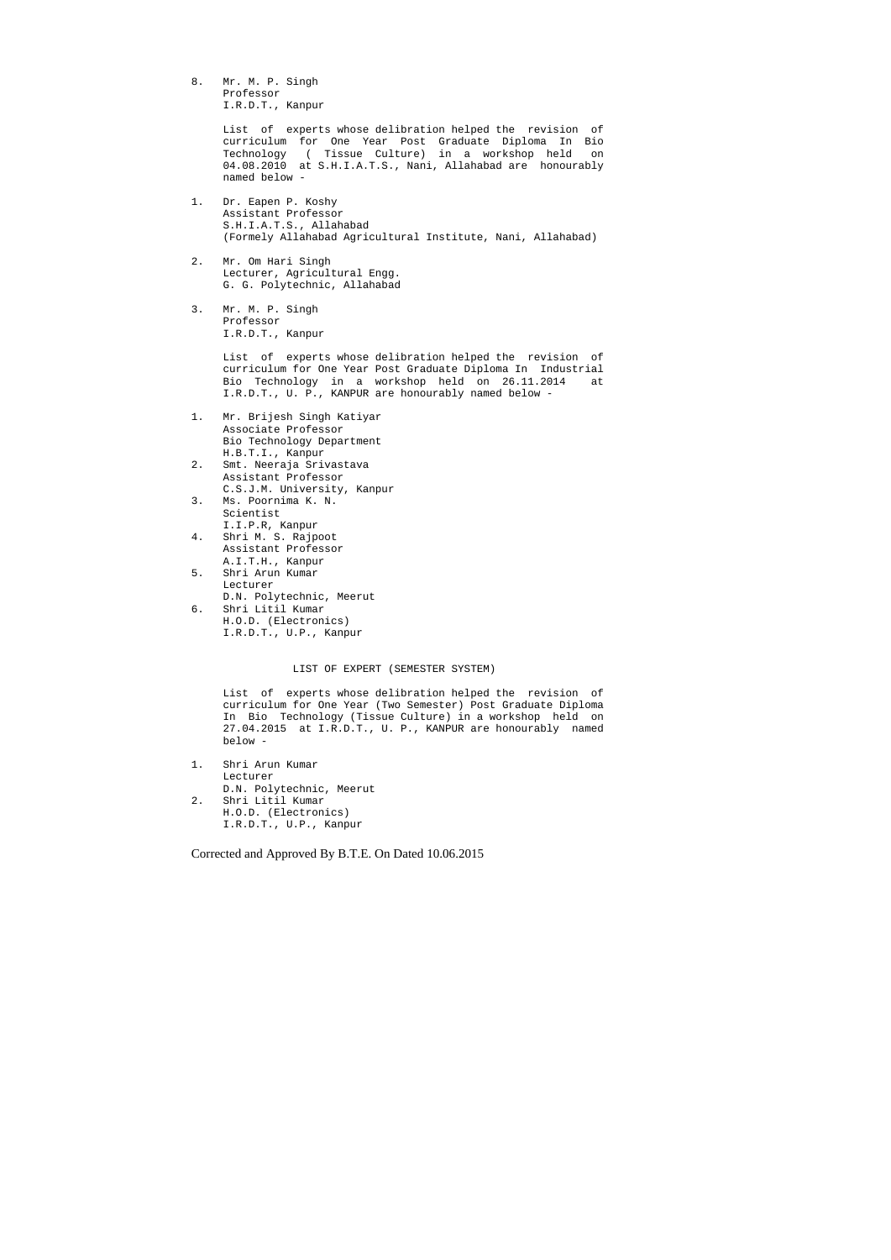8. Mr. M. P. Singh Professor I.R.D.T., Kanpur

> List of experts whose delibration helped the revision of curriculum for One Year Post Graduate Diploma In Bio Technology ( Tissue Culture) in a workshop held on 04.08.2010 at S.H.I.A.T.S., Nani, Allahabad are honourably named below -

- 1. Dr. Eapen P. Koshy Assistant Professor S.H.I.A.T.S., Allahabad (Formely Allahabad Agricultural Institute, Nani, Allahabad)
- 2. Mr. Om Hari Singh Lecturer, Agricultural Engg. G. G. Polytechnic, Allahabad
- 3. Mr. M. P. Singh Professor I.R.D.T., Kanpur

 List of experts whose delibration helped the revision of curriculum for One Year Post Graduate Diploma In Industrial Bio Technology in a workshop held on 26.11.2014 at I.R.D.T., U. P., KANPUR are honourably named below -

- 1. Mr. Brijesh Singh Katiyar Associate Professor Bio Technology Department H.B.T.I., Kanpur
- 2. Smt. Neeraja Srivastava Assistant Professor C.S.J.M. University, Kanpur
- 3. Ms. Poornima K. N. Scientist I.I.P.R, Kanpur
- 4. Shri M. S. Rajpoot Assistant Professor A.I.T.H., Kanpur
- 5. Shri Arun Kumar Lecturer D.N. Polytechnic, Meerut 6. Shri Litil Kumar H.O.D. (Electronics)
	- I.R.D.T., U.P., Kanpur

## LIST OF EXPERT (SEMESTER SYSTEM)

 List of experts whose delibration helped the revision of curriculum for One Year (Two Semester) Post Graduate Diploma In Bio Technology (Tissue Culture) in a workshop held on 27.04.2015 at I.R.D.T., U. P., KANPUR are honourably named below -

- 1. Shri Arun Kumar Lecturer D.N. Polytechnic, Meerut
- 2. Shri Litil Kumar H.O.D. (Electronics) I.R.D.T., U.P., Kanpur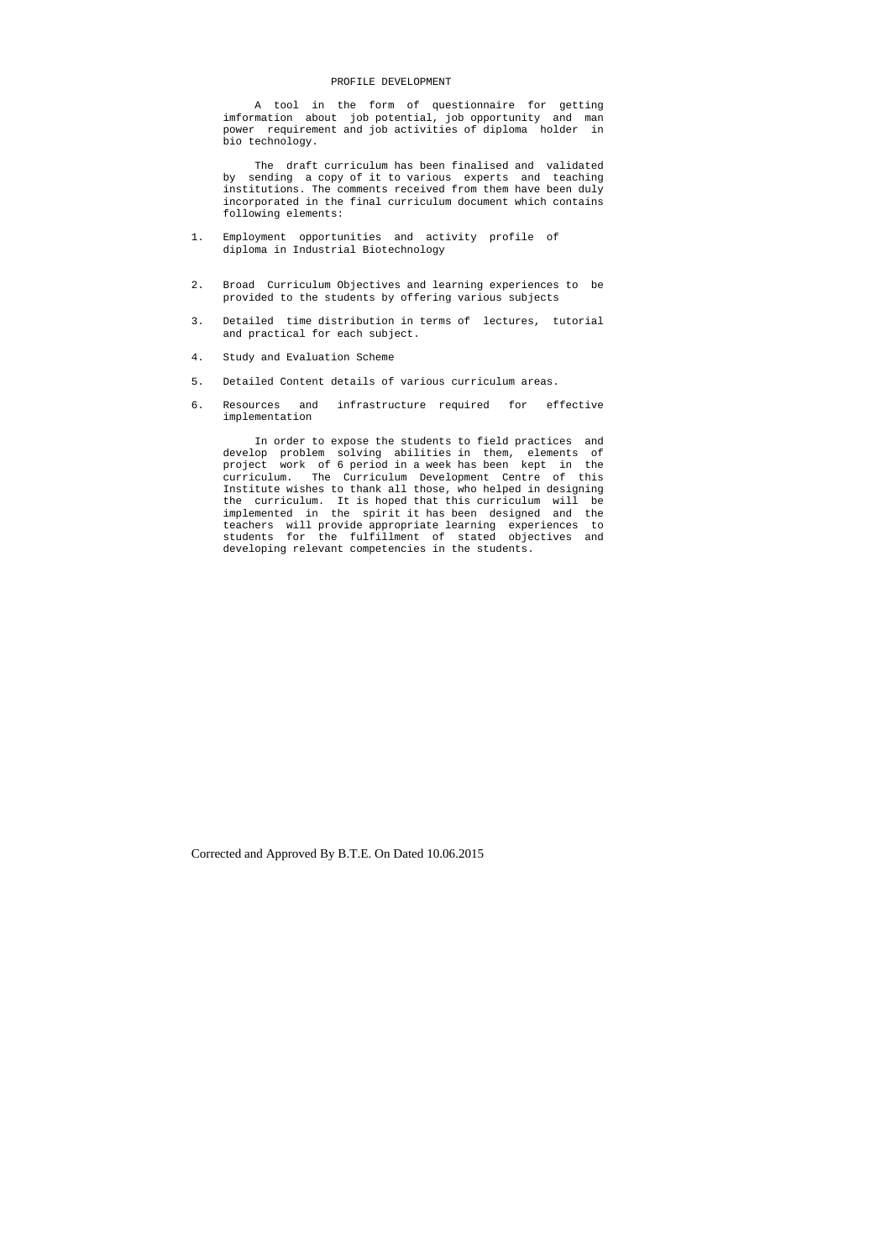#### PROFILE DEVELOPMENT

 A tool in the form of questionnaire for getting imformation about job potential, job opportunity and man power requirement and job activities of diploma holder in bio technology.

 The draft curriculum has been finalised and validated by sending a copy of it to various experts and teaching institutions. The comments received from them have been duly incorporated in the final curriculum document which contains following elements:

- 1. Employment opportunities and activity profile of diploma in Industrial Biotechnology
- 2. Broad Curriculum Objectives and learning experiences to be provided to the students by offering various subjects
- 3. Detailed time distribution in terms of lectures, tutorial and practical for each subject.
- 4. Study and Evaluation Scheme
- 5. Detailed Content details of various curriculum areas.
- 6. Resources and infrastructure required for effective implementation

 In order to expose the students to field practices and develop problem solving abilities in them, elements of project work of 6 period in a week has been kept in the curriculum. The Curriculum Development Centre of this Institute wishes to thank all those, who helped in designing the curriculum. It is hoped that this curriculum will be implemented in the spirit it has been designed and the teachers will provide appropriate learning experiences to students for the fulfillment of stated objectives and developing relevant competencies in the students.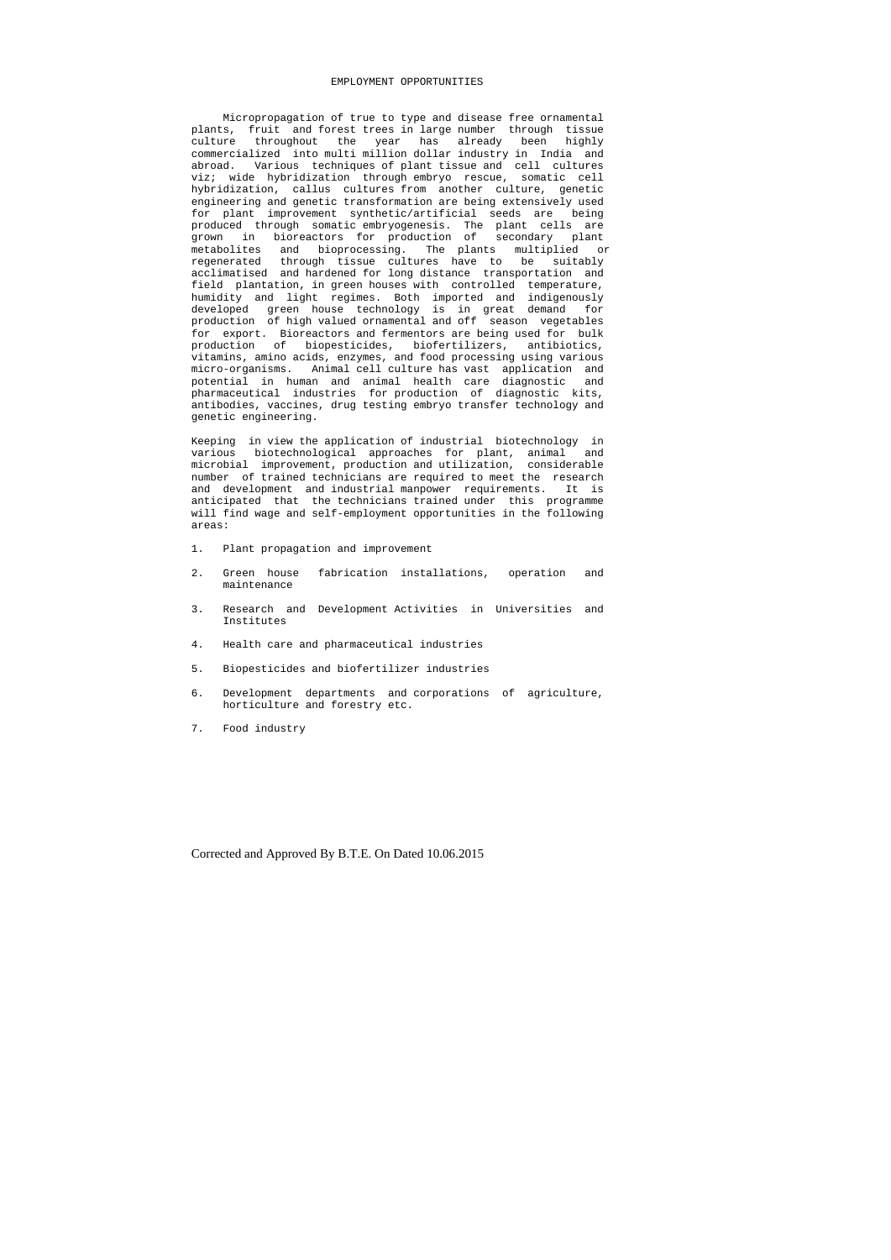#### EMPLOYMENT OPPORTUNITIES

 Micropropagation of true to type and disease free ornamental plants, fruit and forest trees in large number through tissue culture throughout the year has already been highly commercialized into multi million dollar industry in India and abroad. Various techniques of plant tissue and cell cultures viz; wide hybridization through embryo rescue, somatic cell hybridization, callus cultures from another culture, genetic engineering and genetic transformation are being extensively used for plant improvement synthetic/artificial seeds are being produced through somatic embryogenesis. The plant cells are grown in bioreactors for production of secondary plant metabolites and bioprocessing. The plants multiplied or regenerated through tissue cultures have to be suitably acclimatised and hardened for long distance transportation and field plantation, in green houses with controlled temperature, humidity and light regimes. Both imported and indigenously developed green house technology is in great demand for production of high valued ornamental and off season vegetables for export. Bioreactors and fermentors are being used for bulk production of biopesticides, biofertilizers, antibiotics, vitamins, amino acids, enzymes, and food processing using various micro-organisms. Animal cell culture has vast application and potential in human and animal health care diagnostic and pharmaceutical industries for production of diagnostic kits, antibodies, vaccines, drug testing embryo transfer technology and genetic engineering.

Keeping in view the application of industrial biotechnology in various biotechnological approaches for plant, animal and microbial improvement, production and utilization, considerable number of trained technicians are required to meet the research and development and industrial manpower requirements. It is anticipated that the technicians trained under this programme will find wage and self-employment opportunities in the following areas:

- 1. Plant propagation and improvement
- 2. Green house fabrication installations, operation and maintenance
- 3. Research and Development Activities in Universities and Institutes
- 4. Health care and pharmaceutical industries
- 5. Biopesticides and biofertilizer industries
- 6. Development departments and corporations of agriculture, horticulture and forestry etc.
- 7. Food industry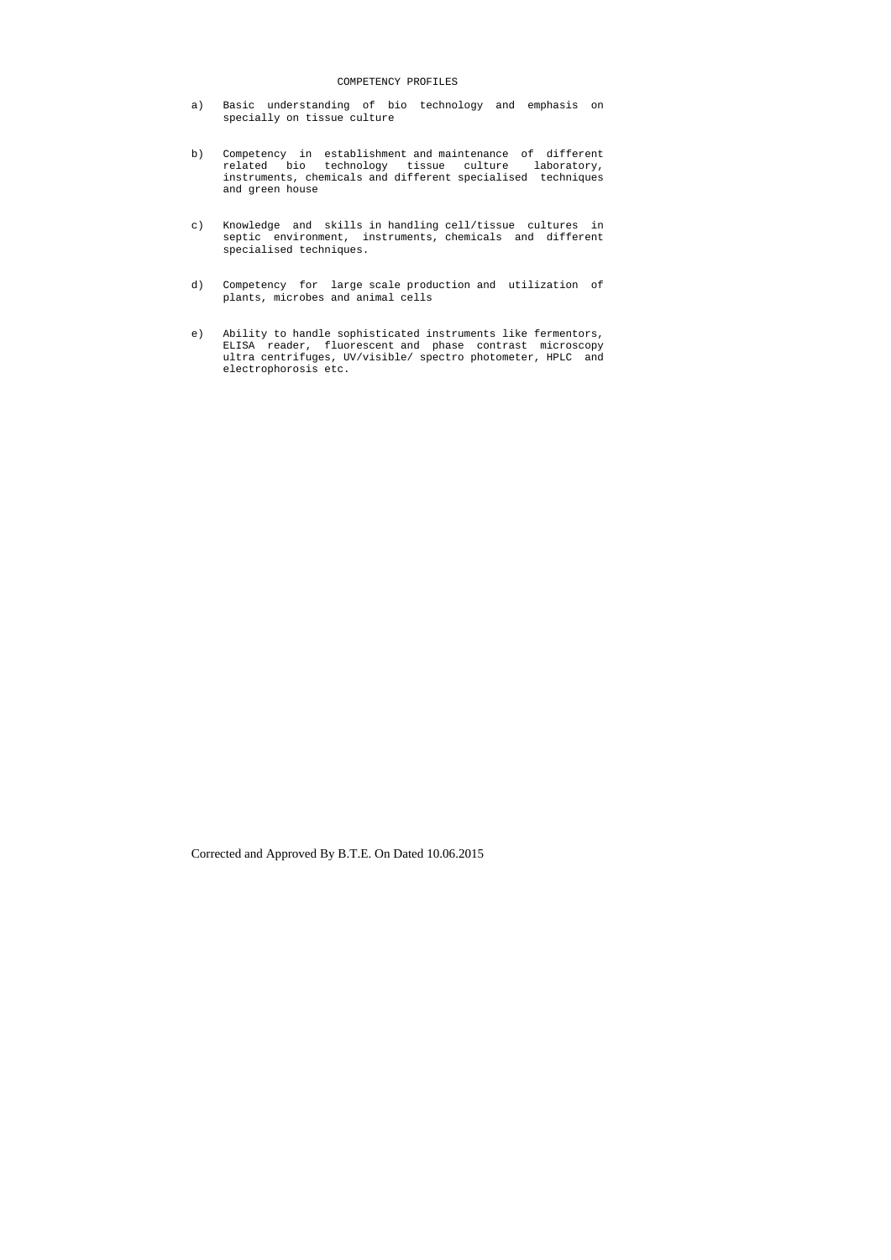## COMPETENCY PROFILES

- a) Basic understanding of bio technology and emphasis on specially on tissue culture
- b) Competency in establishment and maintenance of different related bio technology tissue culture laboratory, instruments, chemicals and different specialised techniques and green house
- c) Knowledge and skills in handling cell/tissue cultures in septic environment, instruments, chemicals and different specialised techniques.
- d) Competency for large scale production and utilization of plants, microbes and animal cells
- e) Ability to handle sophisticated instruments like fermentors, ELISA reader, fluorescent and phase contrast microscopy ultra centrifuges, UV/visible/ spectro photometer, HPLC and electrophorosis etc.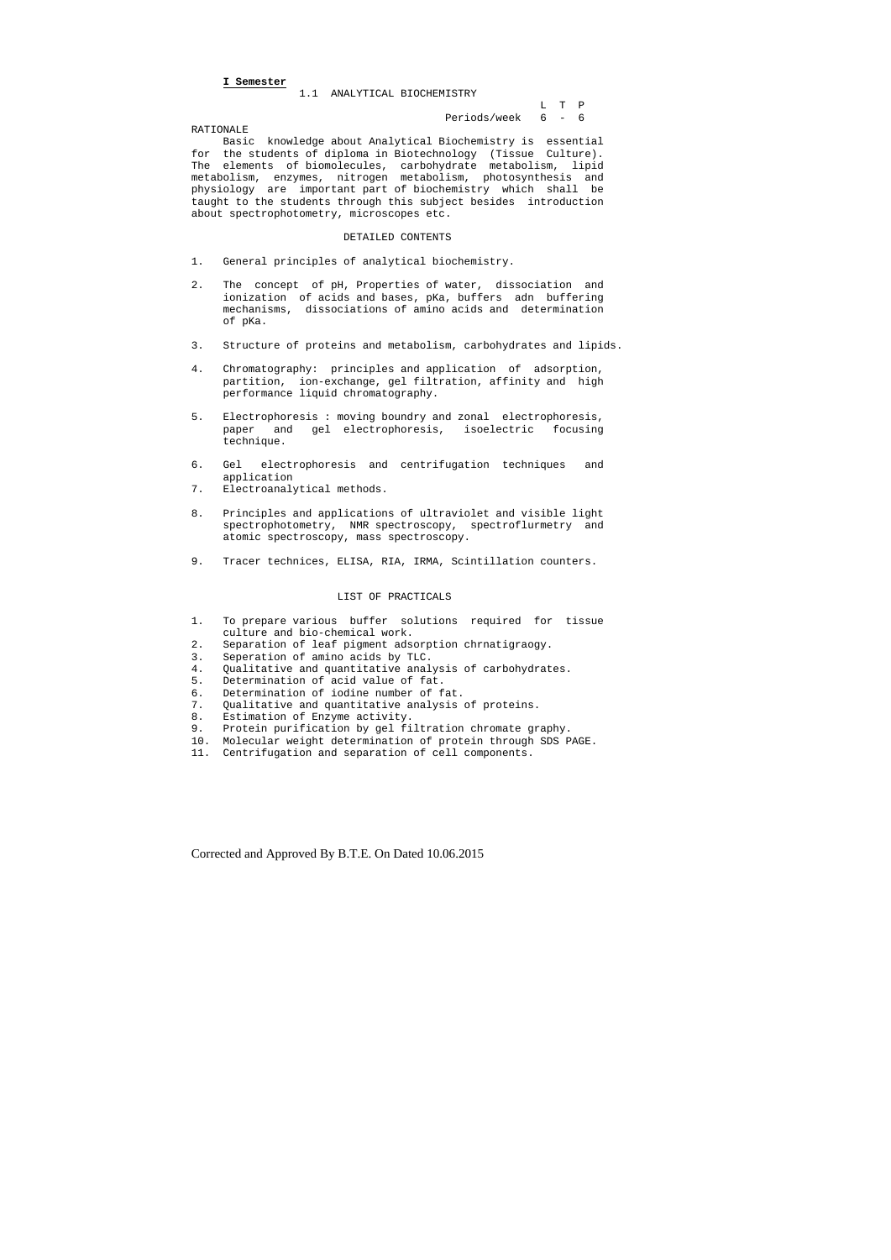**I Semester**

1.1 ANALYTICAL BIOCHEMISTRY

 L T P Periods/week 6 - 6

RATIONALE

 Basic knowledge about Analytical Biochemistry is essential for the students of diploma in Biotechnology (Tissue Culture). The elements of biomolecules, carbohydrate metabolism, lipid metabolism, enzymes, nitrogen metabolism, photosynthesis and physiology are important part of biochemistry which shall be taught to the students through this subject besides introduction about spectrophotometry, microscopes etc.

#### DETAILED CONTENTS

- 1. General principles of analytical biochemistry.
- 2. The concept of pH, Properties of water, dissociation and ionization of acids and bases, pKa, buffers adn buffering mechanisms, dissociations of amino acids and determination of pKa.
- 3. Structure of proteins and metabolism, carbohydrates and lipids.
- 4. Chromatography: principles and application of adsorption, partition, ion-exchange, gel filtration, affinity and high performance liquid chromatography.
- 5. Electrophoresis : moving boundry and zonal electrophoresis, paper and gel electrophoresis, isoelectric focusing technique.
- 6. Gel electrophoresis and centrifugation techniques and application
- 7. Electroanalytical methods.
- 8. Principles and applications of ultraviolet and visible light spectrophotometry, NMR spectroscopy, spectroflurmetry and atomic spectroscopy, mass spectroscopy.
- 9. Tracer technices, ELISA, RIA, IRMA, Scintillation counters.

## LIST OF PRACTICALS

- 1. To prepare various buffer solutions required for tissue culture and bio-chemical work.
- 2. Separation of leaf pigment adsorption chrnatigraogy.
- 3. Seperation of amino acids by TLC.
- 4. Qualitative and quantitative analysis of carbohydrates.
- 5. Determination of acid value of fat.
- 
- 6. Determination of iodine number of fat.<br>7. Qualitative and quantitative analysis Qualitative and quantitative analysis of proteins.
- 8. Estimation of Enzyme activity.<br>9. Protein purification by gel fi
- Protein purification by gel filtration chromate graphy.
- 10. Molecular weight determination of protein through SDS PAGE.
- 11. Centrifugation and separation of cell components.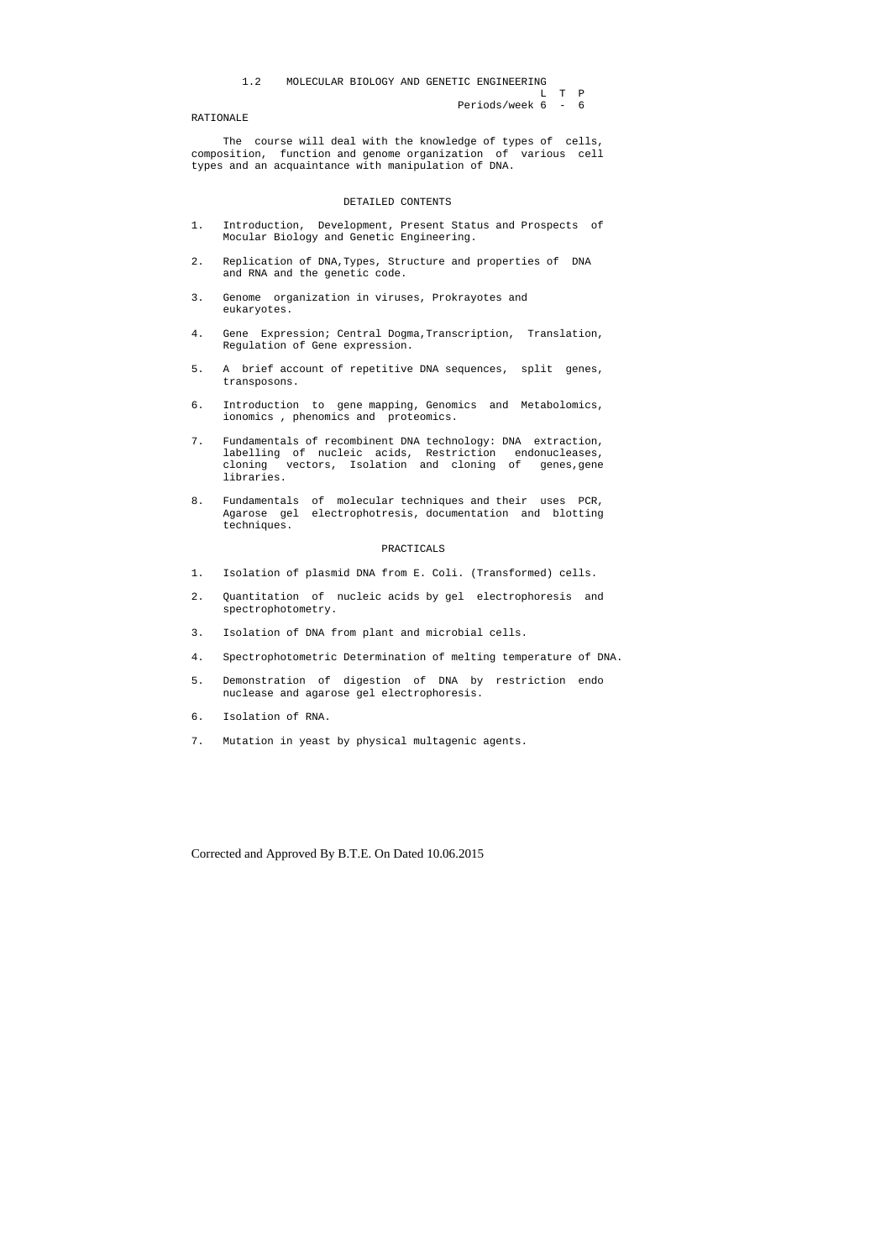L T P

```
 Periods/week 6 - 6
```
#### RATIONALE

 The course will deal with the knowledge of types of cells, composition, function and genome organization of various cell types and an acquaintance with manipulation of DNA.

## DETAILED CONTENTS

- 1. Introduction, Development, Present Status and Prospects of Mocular Biology and Genetic Engineering.
- 2. Replication of DNA,Types, Structure and properties of DNA and RNA and the genetic code.
- 3. Genome organization in viruses, Prokrayotes and eukaryotes.
- 4. Gene Expression; Central Dogma,Transcription, Translation, Regulation of Gene expression.
- 5. A brief account of repetitive DNA sequences, split genes, transposons.
- 6. Introduction to gene mapping, Genomics and Metabolomics, ionomics , phenomics and proteomics.
- 7. Fundamentals of recombinent DNA technology: DNA extraction, labelling of nucleic acids, Restriction endonucleases, cloning vectors, Isolation and cloning of genes,gene libraries.
- 8. Fundamentals of molecular techniques and their uses PCR, Agarose gel electrophotresis, documentation and blotting techniques.

### PRACTICALS

- 1. Isolation of plasmid DNA from E. Coli. (Transformed) cells.
- 2. Quantitation of nucleic acids by gel electrophoresis and spectrophotometry.
- 3. Isolation of DNA from plant and microbial cells.
- 4. Spectrophotometric Determination of melting temperature of DNA.
- 5. Demonstration of digestion of DNA by restriction endo nuclease and agarose gel electrophoresis.
- 6. Isolation of RNA.
- 7. Mutation in yeast by physical multagenic agents.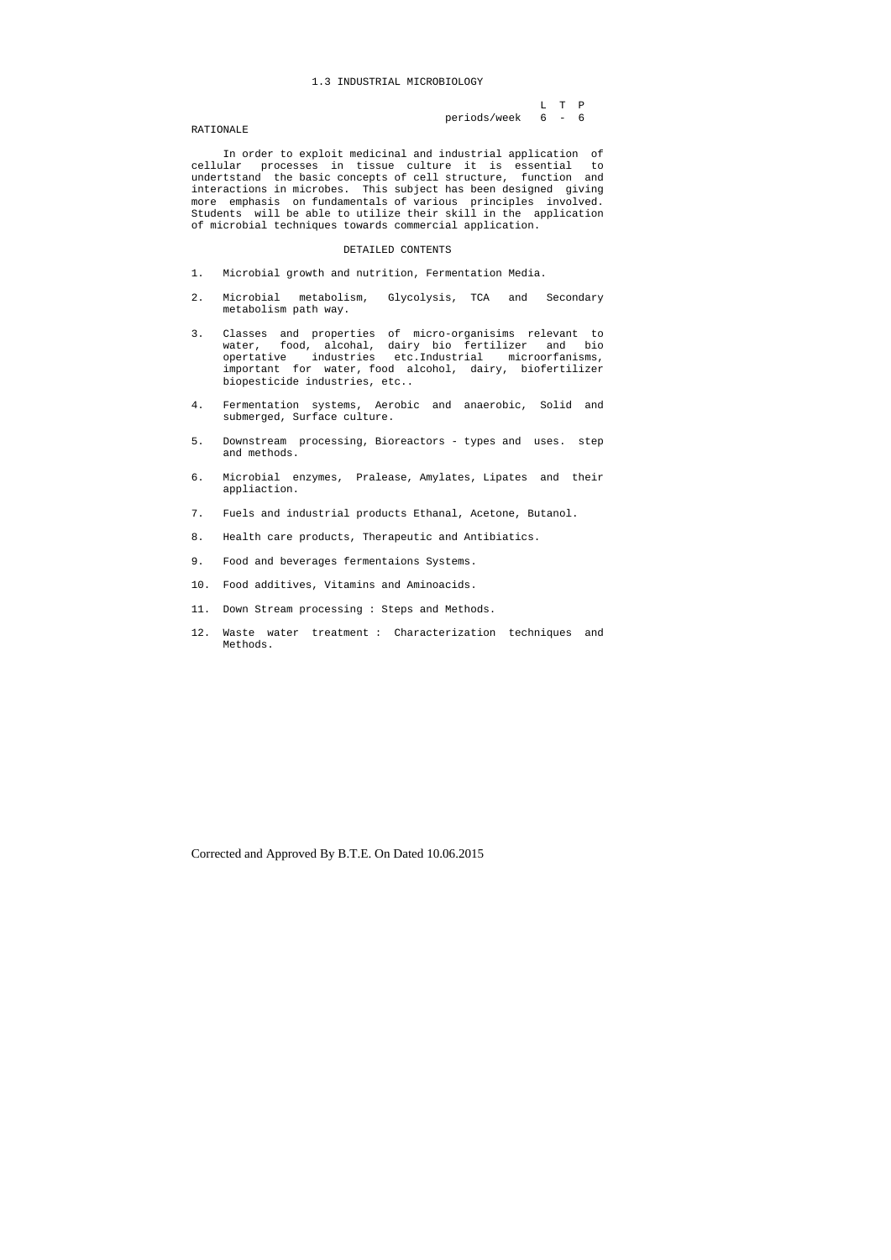### 1.3 INDUSTRIAL MICROBIOLOGY

## L T P periods/week 6 - 6

#### RATIONALE

 In order to exploit medicinal and industrial application of cellular processes in tissue culture it is essential to undertstand the basic concepts of cell structure, function and interactions in microbes. This subject has been designed giving more emphasis on fundamentals of various principles involved. Students will be able to utilize their skill in the application of microbial techniques towards commercial application.

#### DETAILED CONTENTS

- 1. Microbial growth and nutrition, Fermentation Media.
- 2. Microbial metabolism, Glycolysis, TCA and Secondary metabolism path way.
- 3. Classes and properties of micro-organisims relevant to water, food, alcohal, dairy bio fertilizer and bio opertative industries etc.Industrial microorfanisms, important for water, food alcohol, dairy, biofertilizer biopesticide industries, etc..
- 4. Fermentation systems, Aerobic and anaerobic, Solid and submerged, Surface culture.
- 5. Downstream processing, Bioreactors types and uses. step and methods.
- 6. Microbial enzymes, Pralease, Amylates, Lipates and their appliaction.
- 7. Fuels and industrial products Ethanal, Acetone, Butanol.
- 8. Health care products, Therapeutic and Antibiatics.
- 9. Food and beverages fermentaions Systems.
- 10. Food additives, Vitamins and Aminoacids.
- 11. Down Stream processing : Steps and Methods.
- 12. Waste water treatment : Characterization techniques and Methods.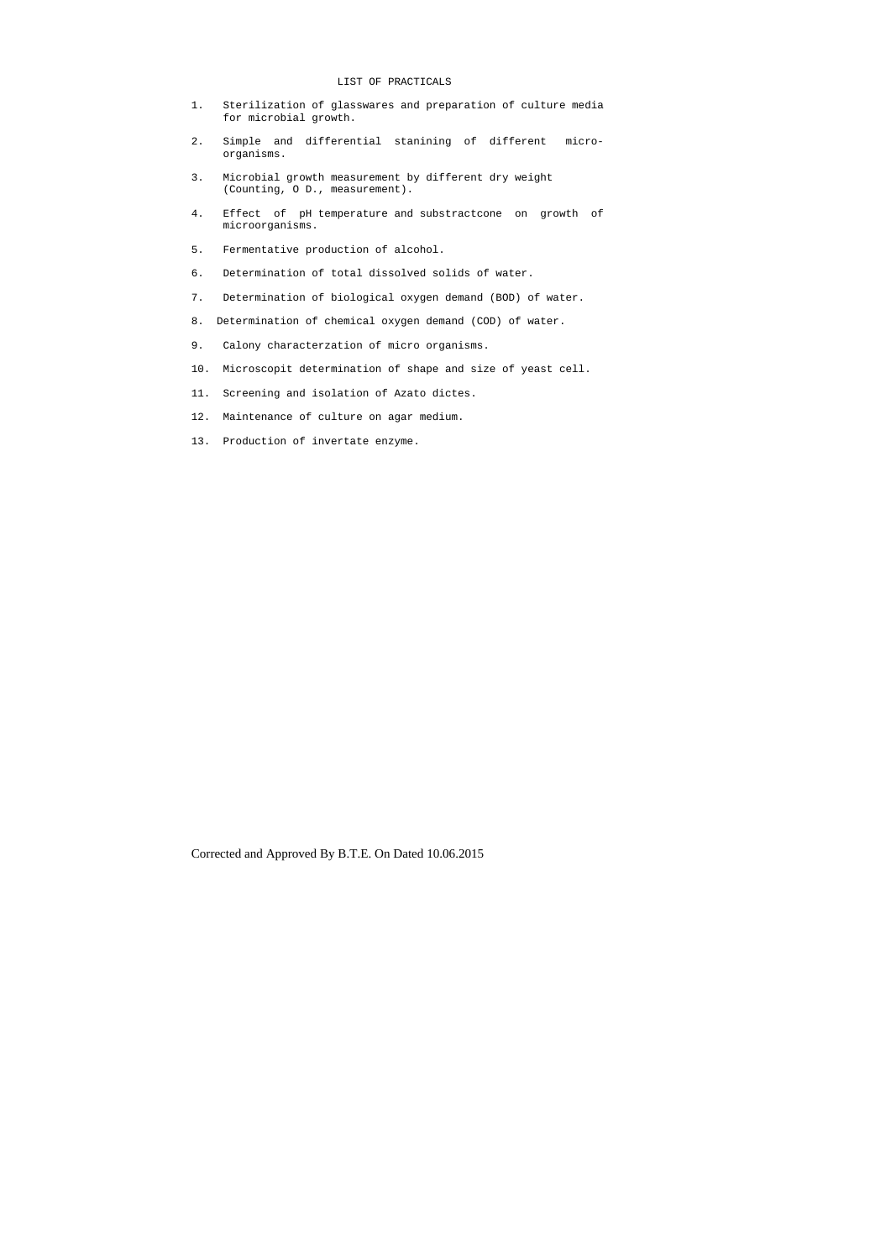## LIST OF PRACTICALS

- 1. Sterilization of glasswares and preparation of culture media for microbial growth.
- 2. Simple and differential stanining of different micro organisms.
- 3. Microbial growth measurement by different dry weight (Counting, O D., measurement).
- 4. Effect of pH temperature and substractcone on growth of microorganisms.
- 5. Fermentative production of alcohol.
- 6. Determination of total dissolved solids of water.
- 7. Determination of biological oxygen demand (BOD) of water.
- 8. Determination of chemical oxygen demand (COD) of water.
- 9. Calony characterzation of micro organisms.
- 10. Microscopit determination of shape and size of yeast cell.
- 11. Screening and isolation of Azato dictes.
- 12. Maintenance of culture on agar medium.
- 13. Production of invertate enzyme.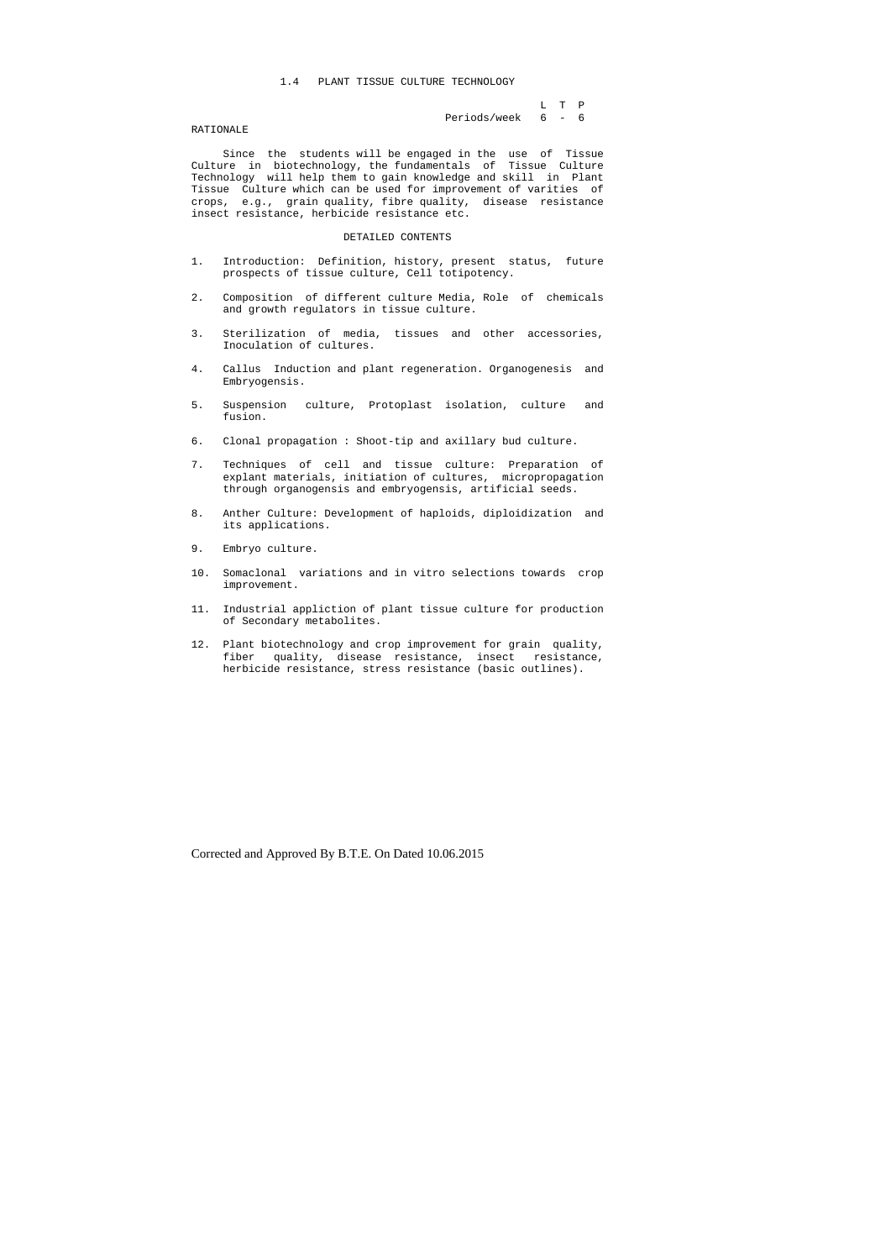### 1.4 PLANT TISSUE CULTURE TECHNOLOGY

 L T P Periods/week 6 - 6

### RATIONALE

 Since the students will be engaged in the use of Tissue Culture in biotechnology, the fundamentals of Tissue Culture Technology will help them to gain knowledge and skill in Plant Tissue Culture which can be used for improvement of varities of crops, e.g., grain quality, fibre quality, disease resistance insect resistance, herbicide resistance etc.

#### DETAILED CONTENTS

- 1. Introduction: Definition, history, present status, future prospects of tissue culture, Cell totipotency.
- 2. Composition of different culture Media, Role of chemicals and growth regulators in tissue culture.
- 3. Sterilization of media, tissues and other accessories, Inoculation of cultures.
- 4. Callus Induction and plant regeneration. Organogenesis and Embryogensis.
- 5. Suspension culture, Protoplast isolation, culture and fusion.
- 6. Clonal propagation : Shoot-tip and axillary bud culture.
- 7. Techniques of cell and tissue culture: Preparation of explant materials, initiation of cultures, micropropagation through organogensis and embryogensis, artificial seeds.
- 8. Anther Culture: Development of haploids, diploidization and its applications.
- 9. Embryo culture.
- 10. Somaclonal variations and in vitro selections towards crop improvement.
- 11. Industrial appliction of plant tissue culture for production of Secondary metabolites.
- 12. Plant biotechnology and crop improvement for grain quality, fiber quality, disease resistance, insect resistance, herbicide resistance, stress resistance (basic outlines).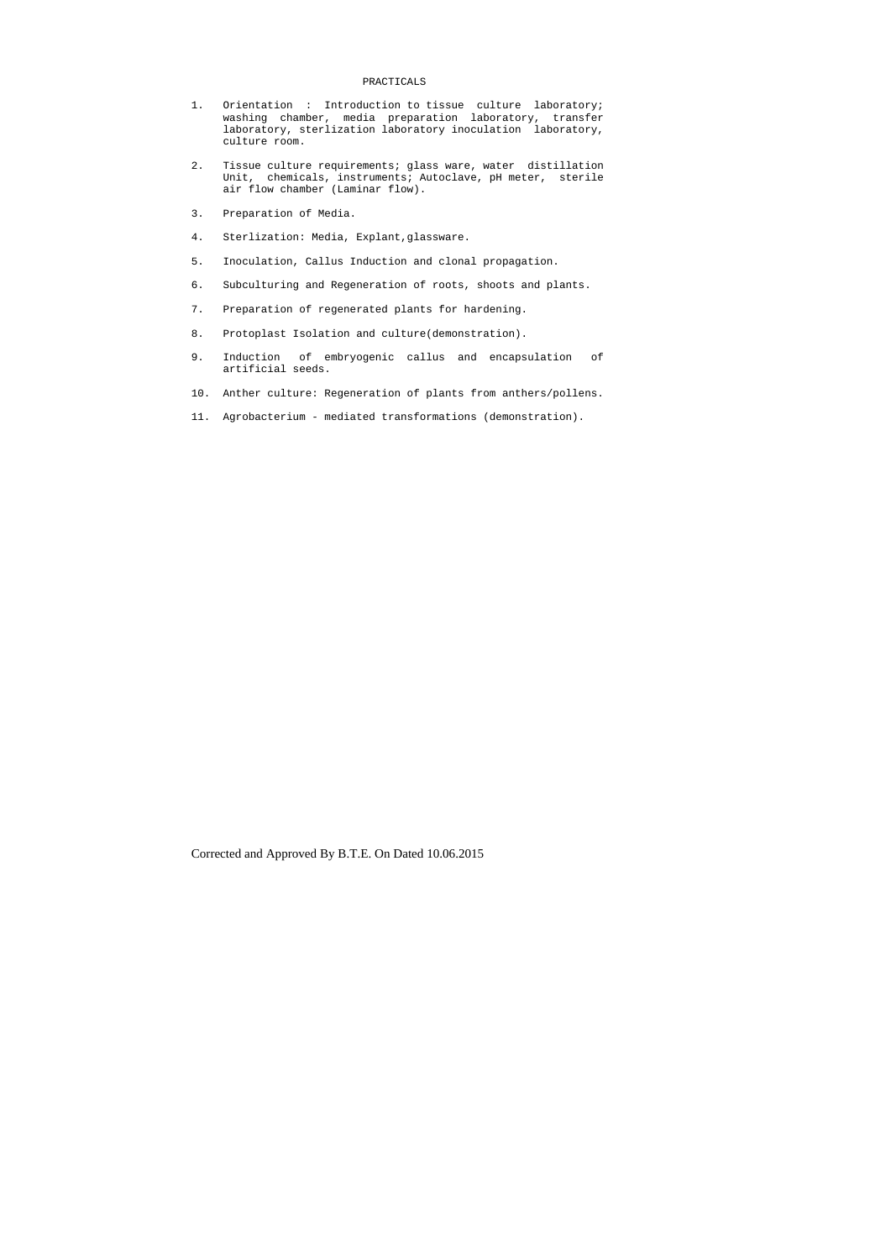#### PRACTICALS

- 1. Orientation : Introduction to tissue culture laboratory; washing chamber, media preparation laboratory, transfer laboratory, sterlization laboratory inoculation laboratory, culture room.
- 2. Tissue culture requirements; glass ware, water distillation Unit, chemicals, instruments; Autoclave, pH meter, sterile air flow chamber (Laminar flow).
- 3. Preparation of Media.
- 4. Sterlization: Media, Explant,glassware.
- 5. Inoculation, Callus Induction and clonal propagation.
- 6. Subculturing and Regeneration of roots, shoots and plants.
- 7. Preparation of regenerated plants for hardening.
- 8. Protoplast Isolation and culture(demonstration).
- 9. Induction of embryogenic callus and encapsulation of artificial seeds.
- 10. Anther culture: Regeneration of plants from anthers/pollens.
- 11. Agrobacterium mediated transformations (demonstration).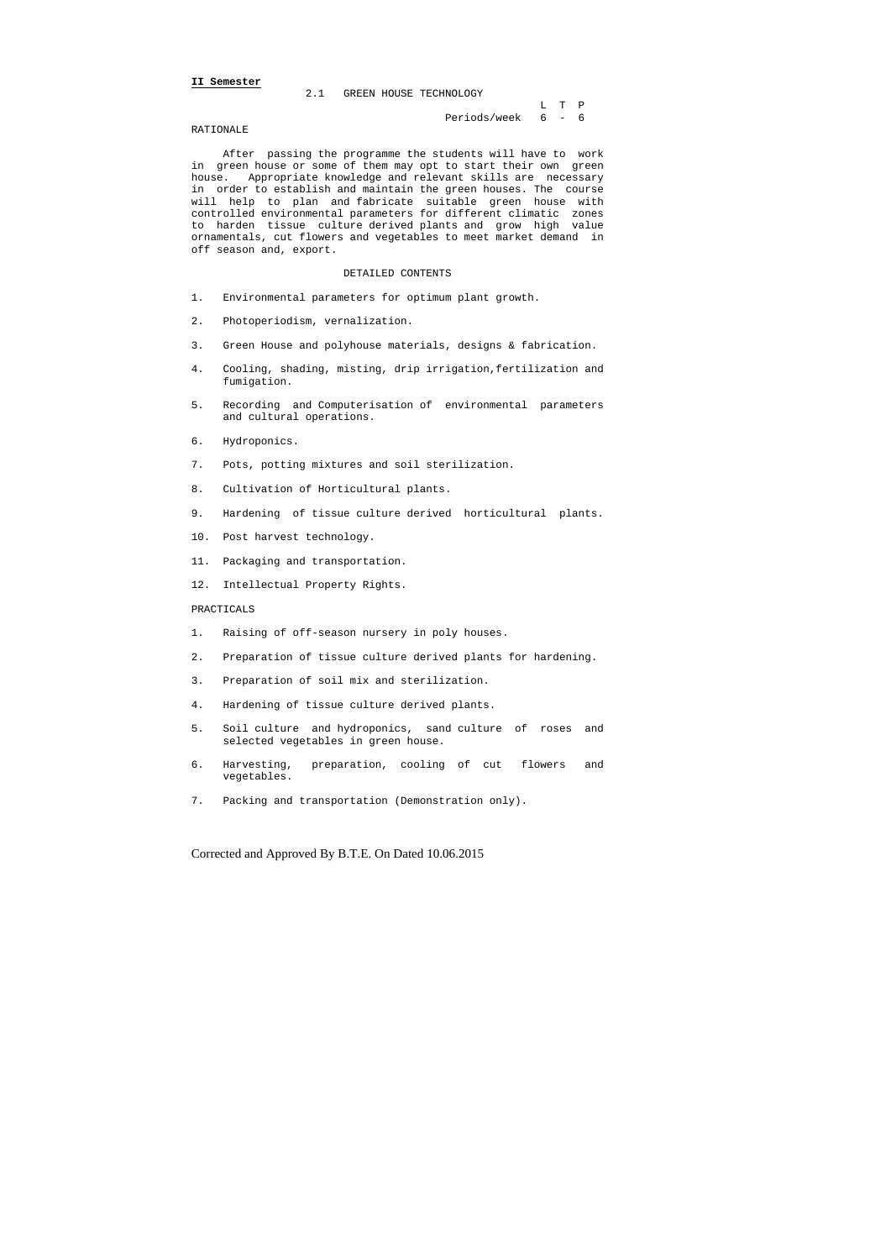#### **II Semester**

| 2.1 GREEN HOUSE TECHNOLOGY |                    |       |  |
|----------------------------|--------------------|-------|--|
|                            |                    | L T P |  |
|                            | Periods/week 6 - 6 |       |  |

#### RATIONALE

 After passing the programme the students will have to work in green house or some of them may opt to start their own green house. Appropriate knowledge and relevant skills are necessary in order to establish and maintain the green houses. The course will help to plan and fabricate suitable green house with controlled environmental parameters for different climatic zones to harden tissue culture derived plants and grow high value ornamentals, cut flowers and vegetables to meet market demand in off season and, export.

## DETAILED CONTENTS

- 1. Environmental parameters for optimum plant growth.
- 2. Photoperiodism, vernalization.
- 3. Green House and polyhouse materials, designs & fabrication.
- 4. Cooling, shading, misting, drip irrigation,fertilization and fumigation.
- 5. Recording and Computerisation of environmental parameters and cultural operations.
- 6. Hydroponics.
- 7. Pots, potting mixtures and soil sterilization.
- 8. Cultivation of Horticultural plants.
- 9. Hardening of tissue culture derived horticultural plants.
- 10. Post harvest technology.
- 11. Packaging and transportation.
- 12. Intellectual Property Rights.

#### PRACTICALS

- 1. Raising of off-season nursery in poly houses.
- 2. Preparation of tissue culture derived plants for hardening.
- 3. Preparation of soil mix and sterilization.
- 4. Hardening of tissue culture derived plants.
- 5. Soil culture and hydroponics, sand culture of roses and selected vegetables in green house.
- 6. Harvesting, preparation, cooling of cut flowers and vegetables.
- 7. Packing and transportation (Demonstration only).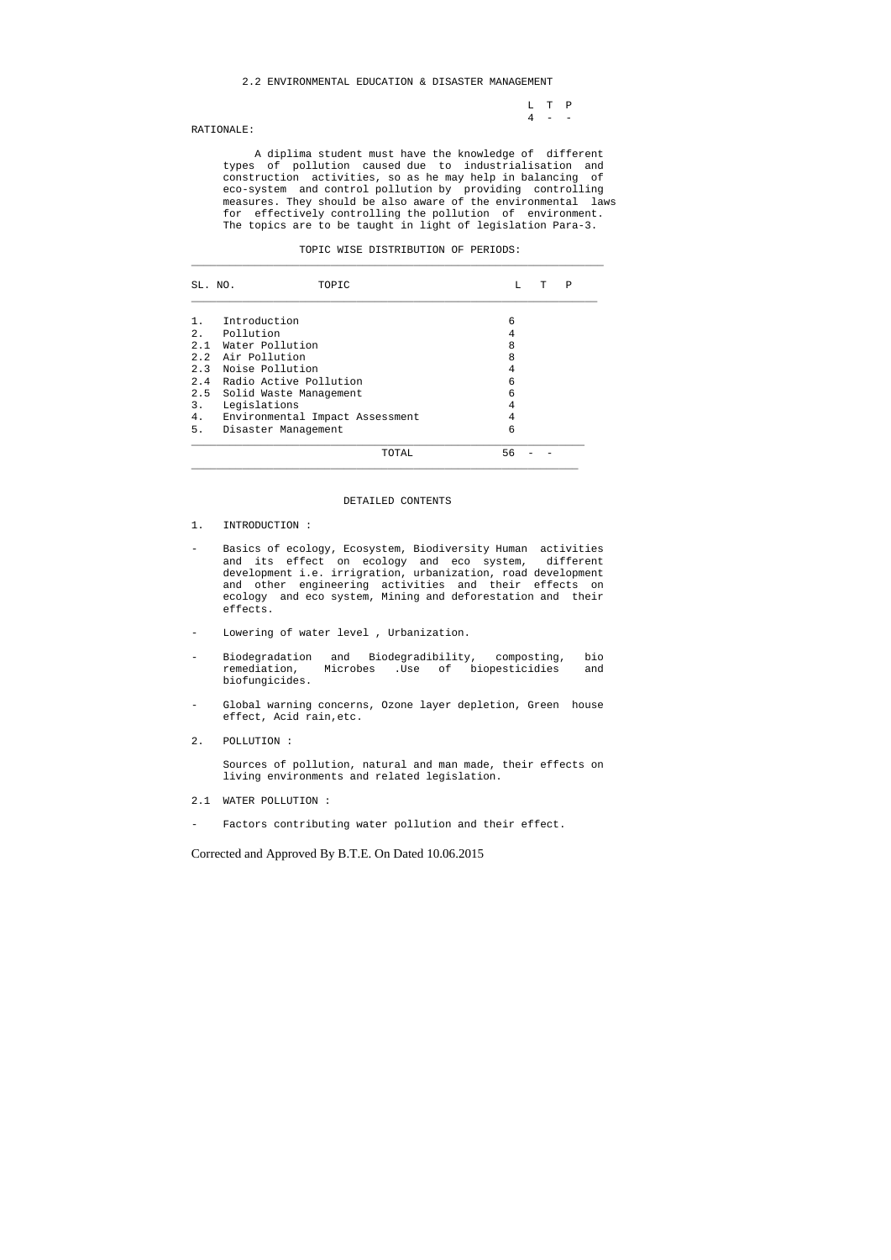L T P  $4 - -$ 

## 2.2 ENVIRONMENTAL EDUCATION & DISASTER MANAGEMENT

### RATIONALE:

 A diplima student must have the knowledge of different types of pollution caused due to industrialisation and construction activities, so as he may help in balancing of eco-system and control pollution by providing controlling measures. They should be also aware of the environmental laws for effectively controlling the pollution of environment. The topics are to be taught in light of legislation Para-3.

|  | TOPIC WISE DISTRIBUTION OF PERIODS: |  |  |
|--|-------------------------------------|--|--|
|--|-------------------------------------|--|--|

| SL. NO. | TOPIC                           | L  | т | Ρ |
|---------|---------------------------------|----|---|---|
|         | Introduction                    | 6  |   |   |
| 2.      | Pollution                       | 4  |   |   |
|         | 2.1 Water Pollution             | 8  |   |   |
|         | 2.2 Air Pollution               | 8  |   |   |
|         | 2.3 Noise Pollution             | 4  |   |   |
|         | 2.4 Radio Active Pollution      | 6  |   |   |
|         | 2.5 Solid Waste Management      | 6  |   |   |
| 3.      | Legislations                    | 4  |   |   |
| 4.      | Environmental Impact Assessment | 4  |   |   |
| 5.      | Disaster Management             | 6  |   |   |
|         | TOTAL                           | 56 |   |   |

- 2.1 WATER POLLUTION :
- Factors contributing water pollution and their effect.

#### DETAILED CONTENTS

- 1. INTRODUCTION :
- Basics of ecology, Ecosystem, Biodiversity Human activities and its effect on ecology and eco system, different development i.e. irrigration, urbanization, road development and other engineering activities and their effects on ecology and eco system, Mining and deforestation and their effects.
- Lowering of water level , Urbanization.
- Biodegradation and Biodegradibility, composting, bio remediation, Microbes .Use of biopesticidies and biofungicides.
- Global warning concerns, Ozone layer depletion, Green house effect, Acid rain,etc.
- 2. POLLUTION :

 Sources of pollution, natural and man made, their effects on living environments and related legislation.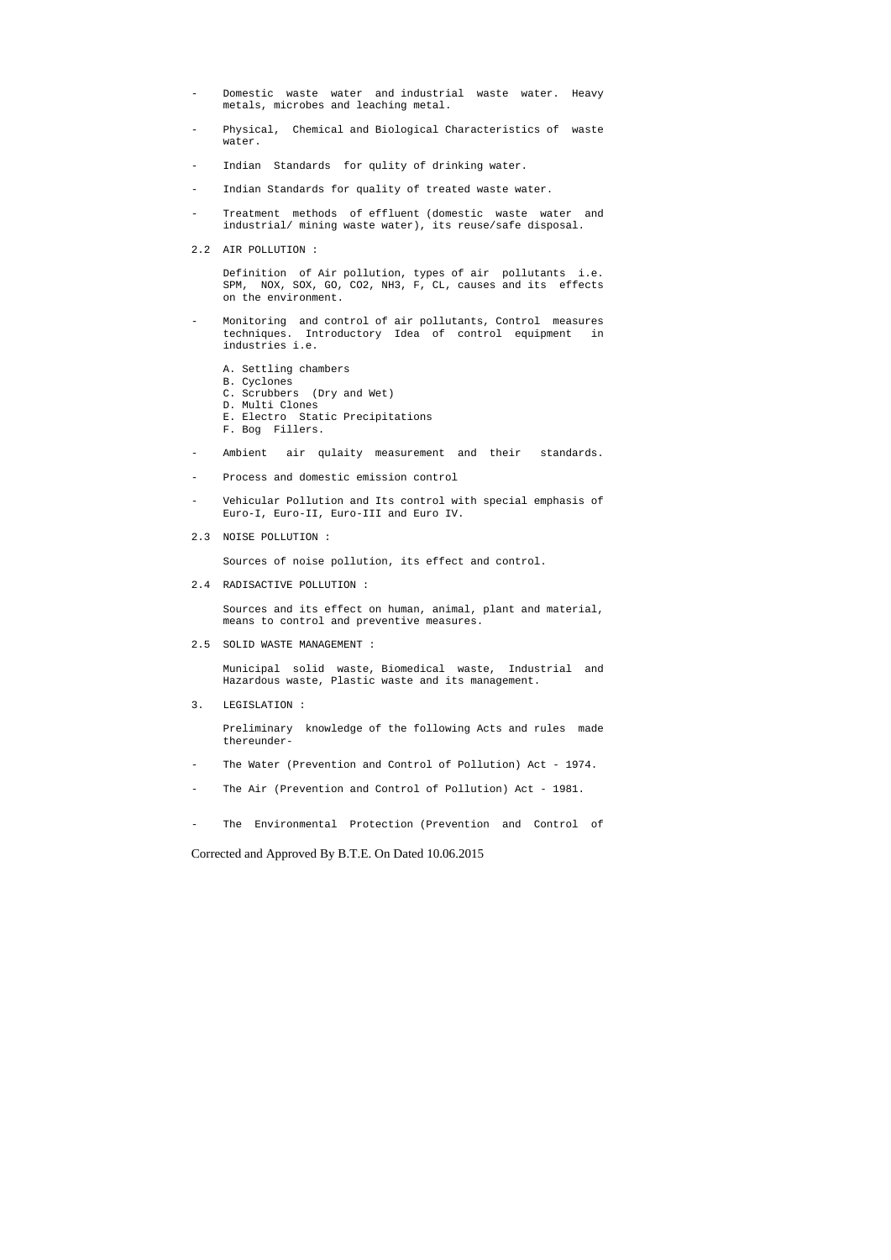- Domestic waste water and industrial waste water. Heavy metals, microbes and leaching metal.
- Physical, Chemical and Biological Characteristics of waste water.
- Indian Standards for qulity of drinking water.
- Indian Standards for quality of treated waste water.
- Treatment methods of effluent (domestic waste water and industrial/ mining waste water), its reuse/safe disposal.
- 2.2 AIR POLLUTION :

 Definition of Air pollution, types of air pollutants i.e. SPM, NOX, SOX, GO, CO2, NH3, F, CL, causes and its effects on the environment.

- Monitoring and control of air pollutants, Control measures techniques. Introductory Idea of control equipment in industries i.e.
	- A. Settling chambers
	- B. Cyclones
	- C. Scrubbers (Dry and Wet)
	- D. Multi Clones
	- E. Electro Static Precipitations
	- F. Bog Fillers.
- Ambient air qulaity measurement and their standards.
- Process and domestic emission control
- Vehicular Pollution and Its control with special emphasis of Euro-I, Euro-II, Euro-III and Euro IV.
- 2.3 NOISE POLLUTION :

Sources of noise pollution, its effect and control.

2.4 RADISACTIVE POLLUTION :

 Sources and its effect on human, animal, plant and material, means to control and preventive measures.

2.5 SOLID WASTE MANAGEMENT :

 Municipal solid waste, Biomedical waste, Industrial and Hazardous waste, Plastic waste and its management.

3. LEGISLATION :

 Preliminary knowledge of the following Acts and rules made thereunder-

- The Water (Prevention and Control of Pollution) Act 1974.
- The Air (Prevention and Control of Pollution) Act 1981.
- The Environmental Protection (Prevention and Control of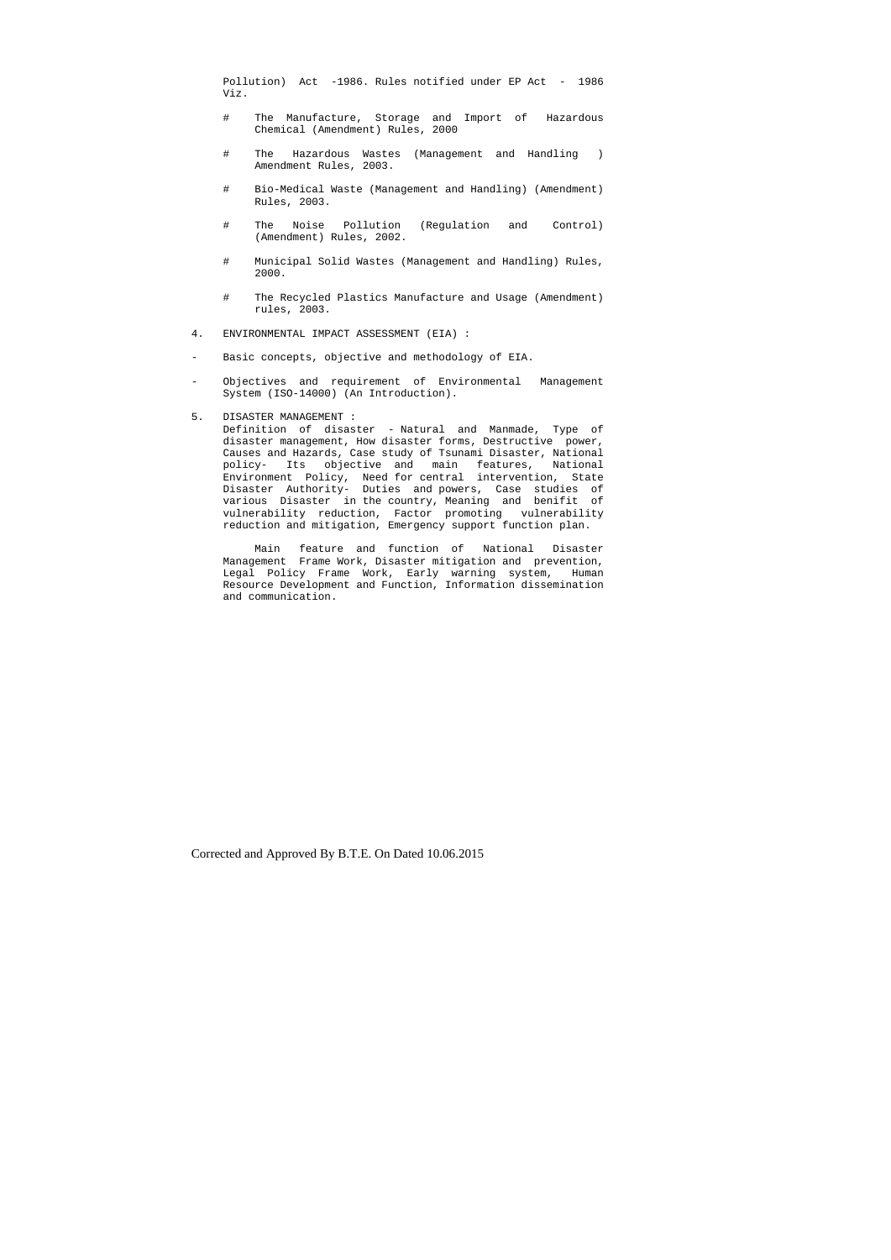Pollution) Act -1986. Rules notified under EP Act - 1986 Viz.

- # The Manufacture, Storage and Import of Hazardous Chemical (Amendment) Rules, 2000
- # The Hazardous Wastes (Management and Handling ) Amendment Rules, 2003.
- # Bio-Medical Waste (Management and Handling) (Amendment) Rules, 2003.
- # The Noise Pollution (Regulation and Control) (Amendment) Rules, 2002.
- # Municipal Solid Wastes (Management and Handling) Rules, 2000.
- # The Recycled Plastics Manufacture and Usage (Amendment) rules, 2003.
- 4. ENVIRONMENTAL IMPACT ASSESSMENT (EIA) :
- Basic concepts, objective and methodology of EIA.
- Objectives and requirement of Environmental Management System (ISO-14000) (An Introduction).

## 5. DISASTER MANAGEMENT :

 Definition of disaster - Natural and Manmade, Type of disaster management, How disaster forms, Destructive power, Causes and Hazards, Case study of Tsunami Disaster, National policy- Its objective and main features, National Environment Policy, Need for central intervention, State Disaster Authority- Duties and powers, Case studies of various Disaster in the country, Meaning and benifit of vulnerability reduction, Factor promoting vulnerability reduction and mitigation, Emergency support function plan.

 Main feature and function of National Disaster Management Frame Work, Disaster mitigation and prevention, Legal Policy Frame Work, Early warning system, Human Resource Development and Function, Information dissemination and communication.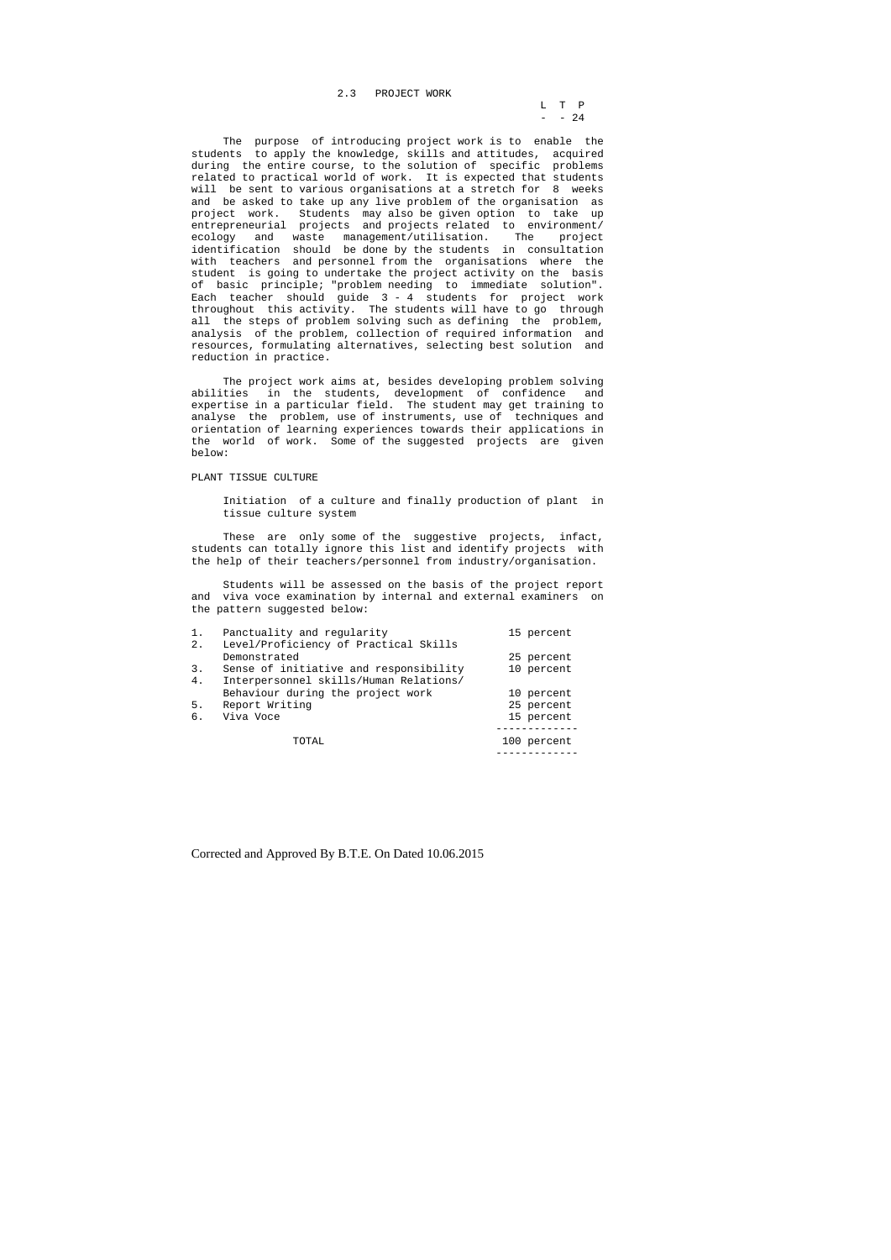L T P  $-$  24

2.3 PROJECT WORK

 The purpose of introducing project work is to enable the students to apply the knowledge, skills and attitudes, acquired during the entire course, to the solution of specific problems related to practical world of work. It is expected that students will be sent to various organisations at a stretch for 8 weeks and be asked to take up any live problem of the organisation as project work. Students may also be given option to take up entrepreneurial projects and projects related to environment/ ecology and waste management/utilisation. The project identification should be done by the students in consultation with teachers and personnel from the organisations where the student is going to undertake the project activity on the basis of basic principle; "problem needing to immediate solution". Each teacher should guide 3 - 4 students for project work throughout this activity. The students will have to go through all the steps of problem solving such as defining the problem, analysis of the problem, collection of required information and resources, formulating alternatives, selecting best solution and reduction in practice.

These are only some of the suggestive projects, infact, students can totally ignore this list and identify projects with the help of their teachers/personnel from industry/organisation.

 The project work aims at, besides developing problem solving abilities in the students, development of confidence and expertise in a particular field. The student may get training to analyse the problem, use of instruments, use of techniques and orientation of learning experiences towards their applications in the world of work. Some of the suggested projects are given below:

## PLANT TISSUE CULTURE

 Initiation of a culture and finally production of plant in tissue culture system

 Students will be assessed on the basis of the project report and viva voce examination by internal and external examiners on the pattern suggested below:

| $1$ . | Panctuality and regularity             | 15 percent  |
|-------|----------------------------------------|-------------|
| 2.    | Level/Proficiency of Practical Skills  |             |
|       | Demonstrated                           | 25 percent  |
| 3.    | Sense of initiative and responsibility | 10 percent  |
| 4.    | Interpersonnel skills/Human Relations/ |             |
|       | Behaviour during the project work      | 10 percent  |
| 5.    | Report Writing                         | 25 percent  |
| б.    | Viva Voce                              | 15 percent  |
|       |                                        |             |
|       | TOTAL                                  | 100 percent |

-------------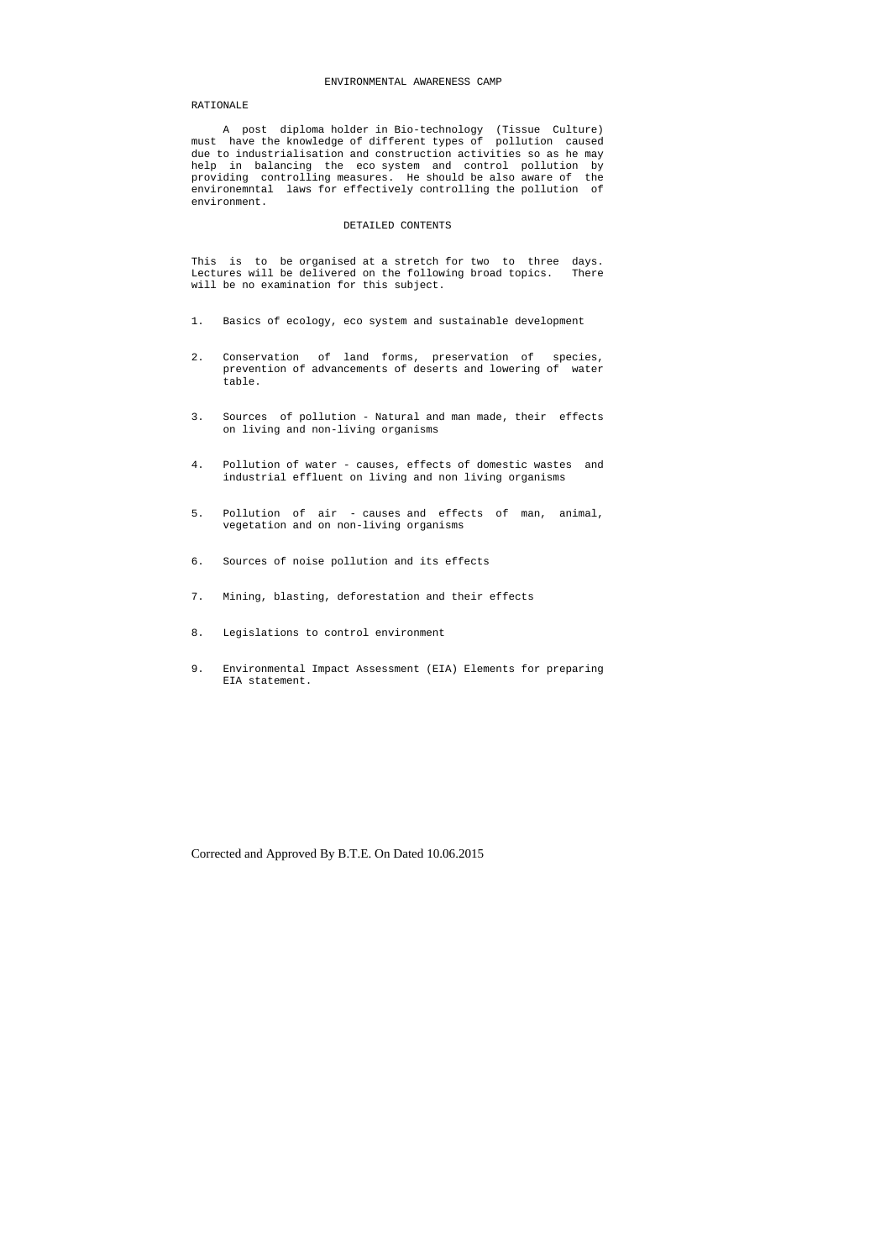#### ENVIRONMENTAL AWARENESS CAMP

## RATIONALE

 A post diploma holder in Bio-technology (Tissue Culture) must have the knowledge of different types of pollution caused due to industrialisation and construction activities so as he may help in balancing the eco system and control pollution by providing controlling measures. He should be also aware of the environemntal laws for effectively controlling the pollution of environment.

## DETAILED CONTENTS

This is to be organised at a stretch for two to three days. Lectures will be delivered on the following broad topics. There will be no examination for this subject.

- 1. Basics of ecology, eco system and sustainable development
- 2. Conservation of land forms, preservation of species, prevention of advancements of deserts and lowering of water table.
- 3. Sources of pollution Natural and man made, their effects on living and non-living organisms
- 4. Pollution of water causes, effects of domestic wastes and industrial effluent on living and non living organisms
- 5. Pollution of air causes and effects of man, animal, vegetation and on non-living organisms
- 6. Sources of noise pollution and its effects
- 7. Mining, blasting, deforestation and their effects
- 8. Legislations to control environment
- 9. Environmental Impact Assessment (EIA) Elements for preparing EIA statement.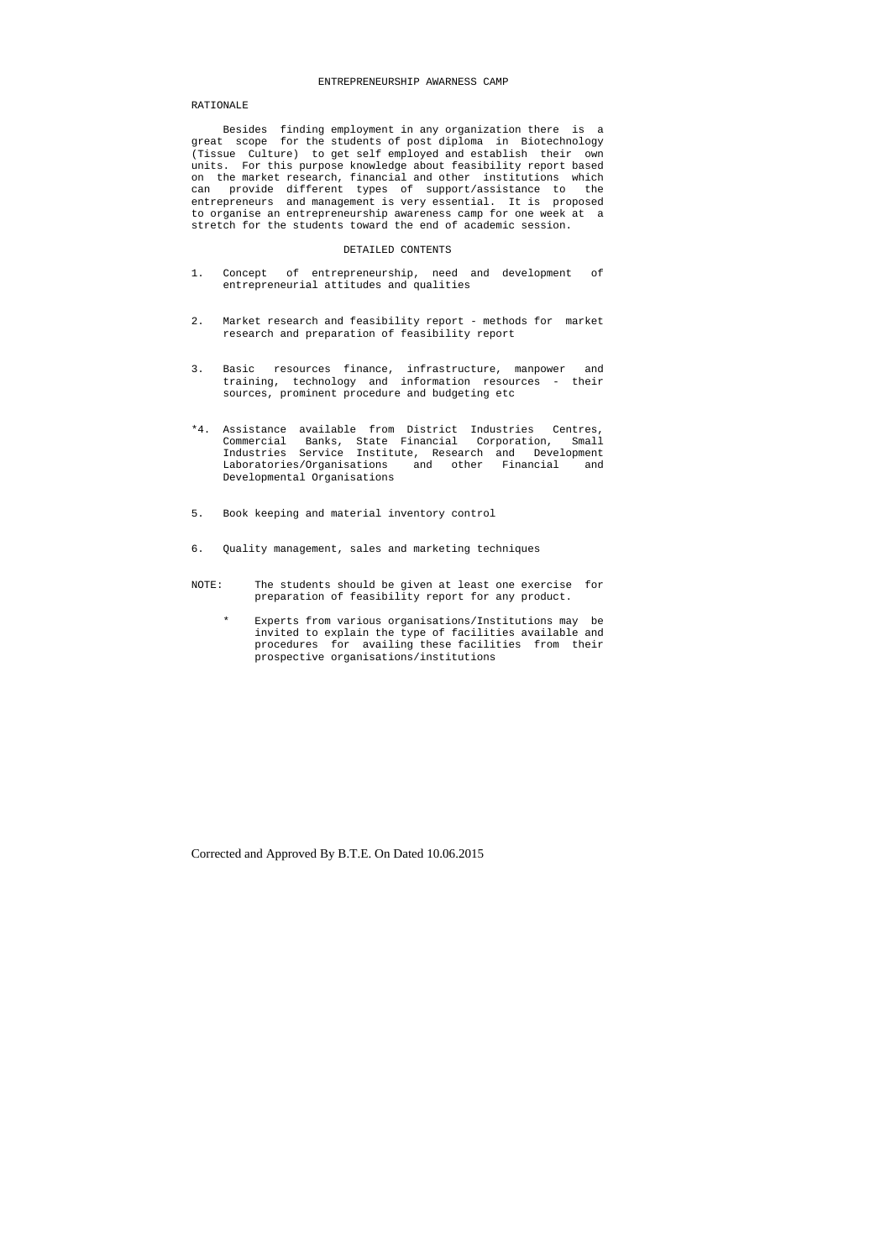#### ENTREPRENEURSHIP AWARNESS CAMP

## RATIONALE

 Besides finding employment in any organization there is a great scope for the students of post diploma in Biotechnology (Tissue Culture) to get self employed and establish their own units. For this purpose knowledge about feasibility report based on the market research, financial and other institutions which can provide different types of support/assistance to the entrepreneurs and management is very essential. It is proposed to organise an entrepreneurship awareness camp for one week at a stretch for the students toward the end of academic session.

## DETAILED CONTENTS

- 1. Concept of entrepreneurship, need and development of entrepreneurial attitudes and qualities
- 2. Market research and feasibility report methods for market research and preparation of feasibility report
- 3. Basic resources finance, infrastructure, manpower and training, technology and information resources - their sources, prominent procedure and budgeting etc
- \*4. Assistance available from District Industries Centres, Commercial Banks, State Financial Corporation, Small Industries Service Institute, Research and Development Laboratories/Organisations and other Financial and Developmental Organisations
- 5. Book keeping and material inventory control
- 6. Quality management, sales and marketing techniques
- NOTE: The students should be given at least one exercise for preparation of feasibility report for any product.
	- Experts from various organisations/Institutions may be invited to explain the type of facilities available and procedures for availing these facilities from their prospective organisations/institutions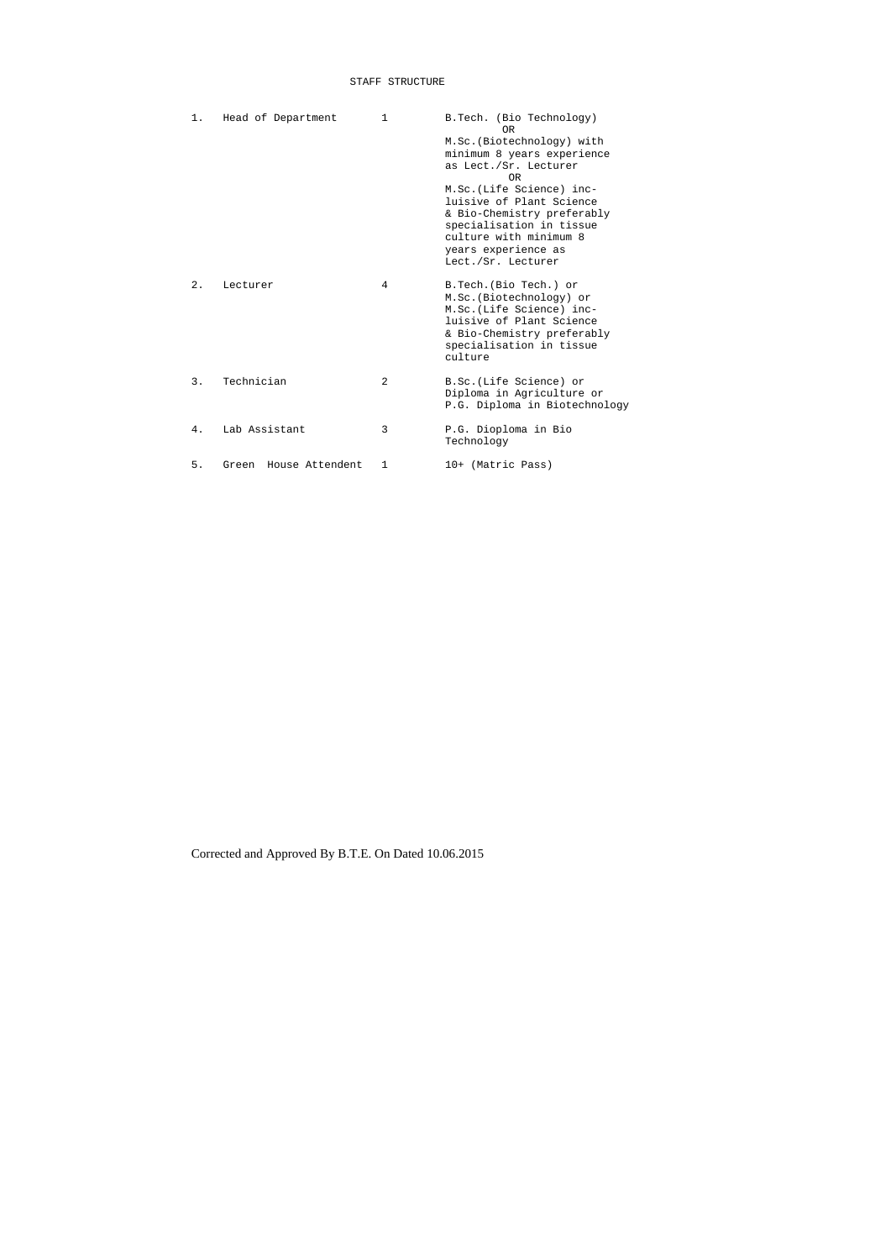## STAFF STRUCTURE

| 1. | Head of Department       | 1              | B.Tech. (Bio Technology)<br>0 <sub>R</sub>             |
|----|--------------------------|----------------|--------------------------------------------------------|
|    |                          |                | M.Sc. (Biotechnology) with                             |
|    |                          |                | minimum 8 years experience                             |
|    |                          |                | as Lect./Sr. Lecturer<br>0R                            |
|    |                          |                | M.Sc. (Life Science) inc-                              |
|    |                          |                | luisive of Plant Science                               |
|    |                          |                | & Bio-Chemistry preferably                             |
|    |                          |                | specialisation in tissue                               |
|    |                          |                | culture with minimum 8                                 |
|    |                          |                | years experience as                                    |
|    |                          |                | Lect./Sr. Lecturer                                     |
| 2. | Lecturer                 | 4              | B.Tech. (Bio Tech.) or                                 |
|    |                          |                | M.Sc. (Biotechnology) or                               |
|    |                          |                | M.Sc. (Life Science) inc-                              |
|    |                          |                | luisive of Plant Science                               |
|    |                          |                | & Bio-Chemistry preferably<br>specialisation in tissue |
|    |                          |                | culture                                                |
|    |                          |                |                                                        |
| 3. | Technician               | $\mathfrak{D}$ | B.Sc.(Life Science) or                                 |
|    |                          |                | Diploma in Agriculture or                              |
|    |                          |                | P.G. Diploma in Biotechnology                          |
| 4. | Lab Assistant            | 3              | P.G. Dioploma in Bio                                   |
|    |                          |                | Technology                                             |
|    |                          |                |                                                        |
| 5. | House Attendent<br>Green | 1              | 10+ (Matric Pass)                                      |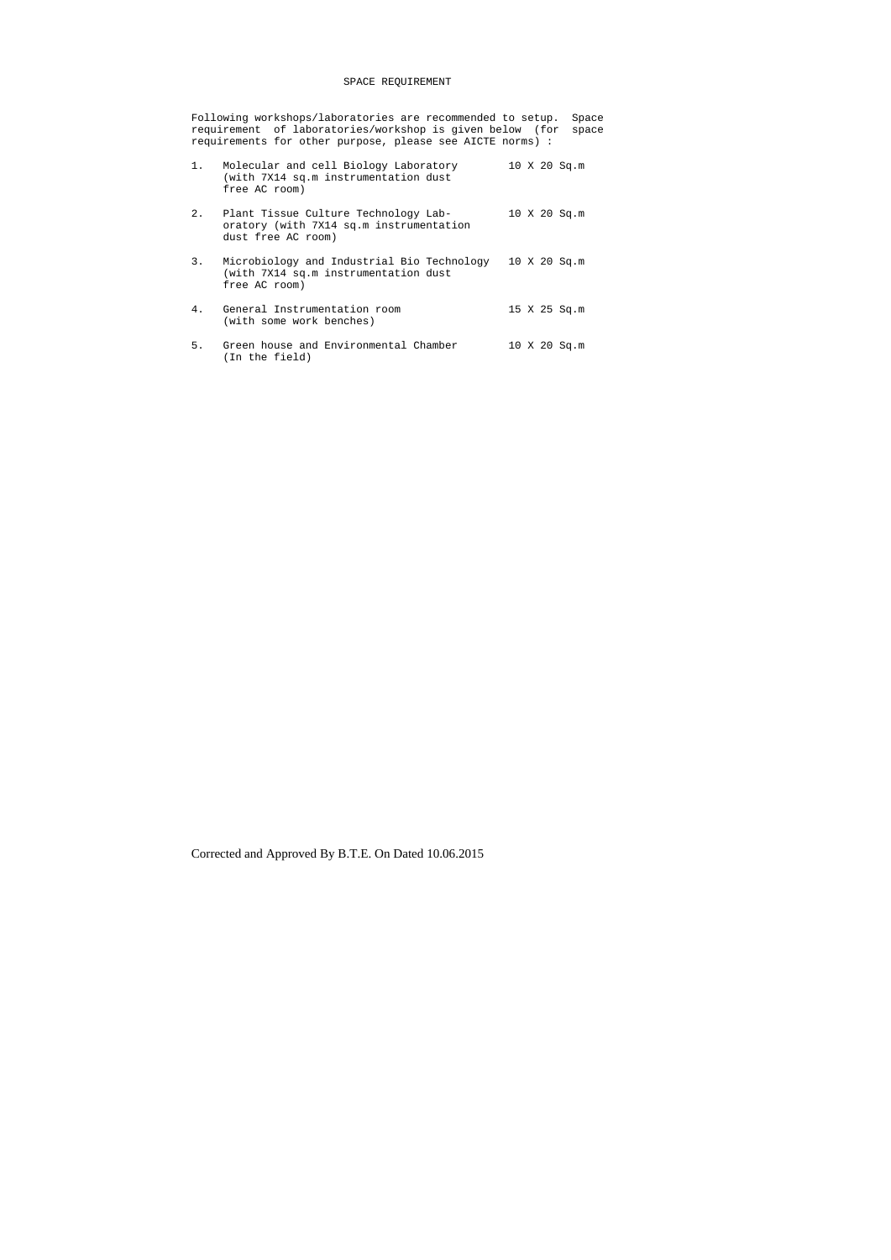## SPACE REQUIREMENT

Following workshops/laboratories are recommended to setup. Space requirement of laboratories/workshop is given below (for space requirements for other purpose, please see AICTE norms) :

- 1. Molecular and cell Biology Laboratory 10 X 20 Sq.m (with 7X14 sq.m instrumentation dust free AC room)
- 2. Plant Tissue Culture Technology Lab- 10 X 20 Sq.m oratory (with 7X14 sq.m instrumentation dust free AC room)
- 3. Microbiology and Industrial Bio Technology 10 X 20 Sq.m (with 7X14 sq.m instrumentation dust free AC room)
- 4. General Instrumentation room 15 X 25 Sq.m (with some work benches)
- 5. Green house and Environmental Chamber 10 X 20 Sq.m (In the field)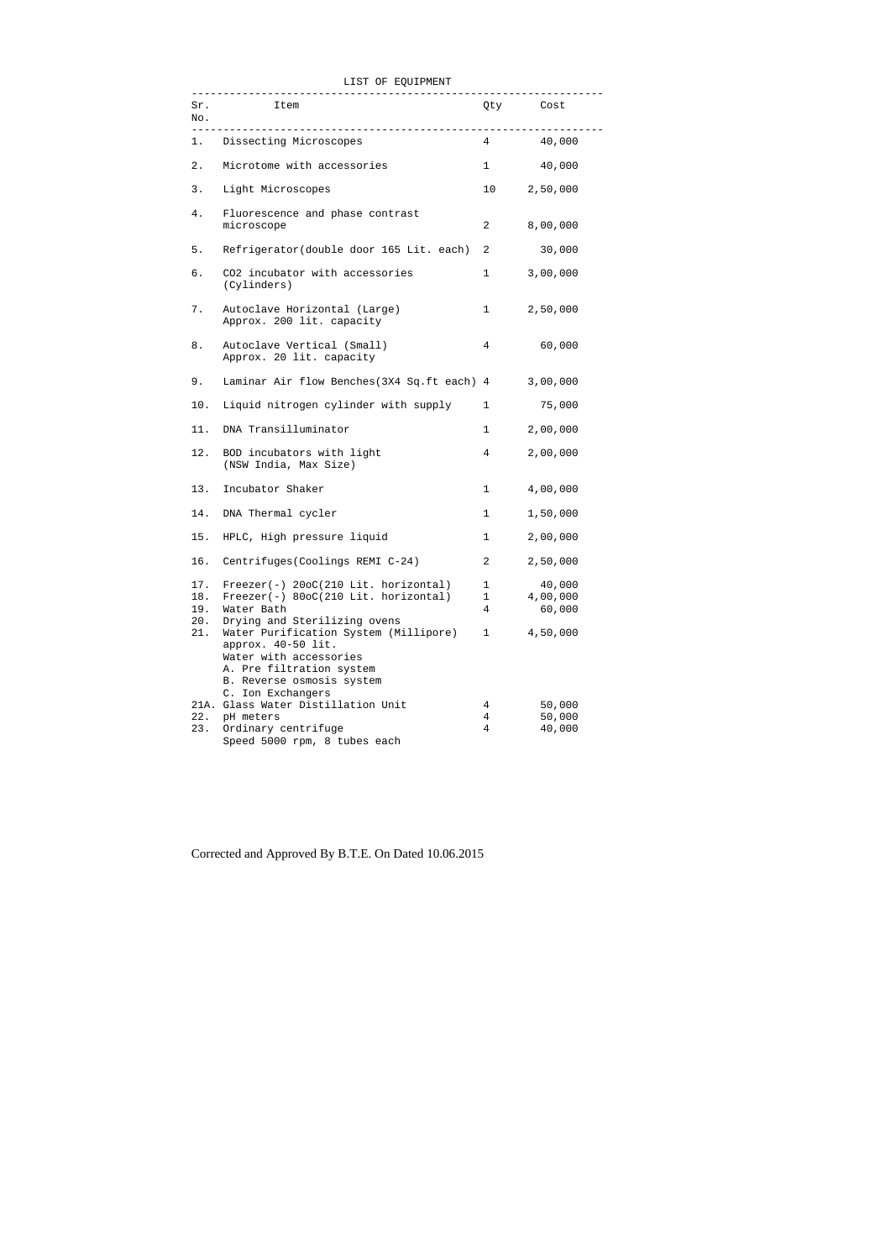|  |  |  | LIST OF EQUIPMENT |
|--|--|--|-------------------|
|--|--|--|-------------------|

| Sr.<br>No.               | <b>Item</b>                                                                                                                                                         | Qty Cost               |                              |
|--------------------------|---------------------------------------------------------------------------------------------------------------------------------------------------------------------|------------------------|------------------------------|
|                          | Dissecting Microscopes                                                                                                                                              |                        | 4 40,000                     |
| 2.                       | Microtome with accessories                                                                                                                                          | 1                      | 40,000                       |
| 3.                       | Light Microscopes                                                                                                                                                   | 10                     | 2,50,000                     |
| 4.                       | Fluorescence and phase contrast<br>microscope                                                                                                                       | $\overline{a}$         | 8,00,000                     |
| 5.                       | Refrigerator(double door 165 Lit. each)                                                                                                                             | $\overline{a}$         | 30,000                       |
| б.                       | CO2 incubator with accessories<br>(Cylinders)                                                                                                                       | $1 \quad \blacksquare$ | 3,00,000                     |
| 7.                       | Autoclave Horizontal (Large)<br>Approx. 200 lit. capacity                                                                                                           | $\mathbf{1}$           | 2,50,000                     |
| 8.                       | Autoclave Vertical (Small)<br>Approx. 20 lit. capacity                                                                                                              | 4                      | 60,000                       |
| 9.                       | Laminar Air flow Benches (3X4 Sq.ft each) 4                                                                                                                         |                        | 3,00,000                     |
| 10.                      | Liquid nitrogen cylinder with supply                                                                                                                                | $\mathbf{1}$           | 75,000                       |
| 11.                      | DNA Transilluminator                                                                                                                                                | $\mathbf{1}$           | 2,00,000                     |
| 12.                      | BOD incubators with light<br>(NSW India, Max Size)                                                                                                                  | 4                      | 2,00,000                     |
| 13.                      | Incubator Shaker                                                                                                                                                    | $\mathbf{1}$           | 4,00,000                     |
|                          | 14. DNA Thermal cycler                                                                                                                                              | $\mathbf{1}$           | 1,50,000                     |
|                          | 15. HPLC, High pressure liquid                                                                                                                                      | $\mathbf 1$            | 2,00,000                     |
| 16.                      | Centrifuges (Coolings REMI C-24)                                                                                                                                    | $\overline{c}$         | 2,50,000                     |
| 17.<br>18.<br>19.<br>20. | $Freeze(-) 20oC(210 Lit. horizontal)$<br>$Freeze(-) 800C(210 Lit. horizontal)$<br>Water Bath<br>Drying and Sterilizing ovens                                        | 1<br>$\mathbf{1}$<br>4 | 40,000<br>4,00,000<br>60,000 |
| 21.                      | Water Purification System (Millipore)<br>approx. 40-50 lit.<br>Water with accessories<br>A. Pre filtration system<br>B. Reverse osmosis system<br>C. Ion Exchangers | $\mathbf 1$            | 4,50,000                     |
| 22.<br>23.               | 21A. Glass Water Distillation Unit<br>pH meters<br>Ordinary centrifuge<br>Speed 5000 rpm, 8 tubes each                                                              | 4<br>4<br>4            | 50,000<br>50,000<br>40,000   |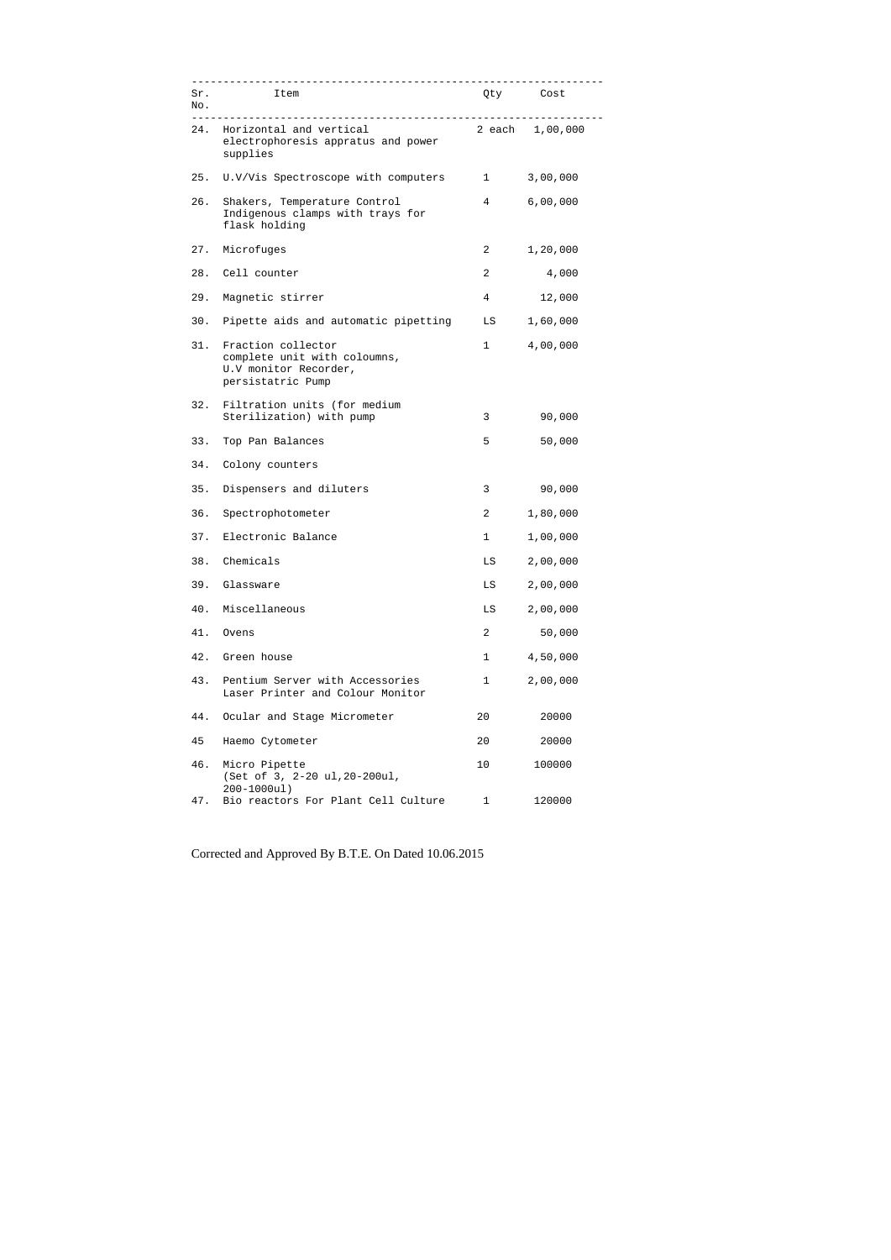| Sr.<br>No. | <b>Item</b>                                                                                      |                  | Qty Cost        |
|------------|--------------------------------------------------------------------------------------------------|------------------|-----------------|
| 24.        | Horizontal and vertical<br>electrophoresis appratus and power<br>supplies                        |                  | 2 each 1,00,000 |
| 25.        | U.V/Vis Spectroscope with computers                                                              | $\mathbf{1}$     | 3,00,000        |
| 26.        | Shakers, Temperature Control<br>Indigenous clamps with trays for<br>flask holding                | 4                | 6,00,000        |
|            | 27. Microfuges                                                                                   | 2                | 1,20,000        |
|            | 28. Cell counter                                                                                 | $\overline{a}$   | 4,000           |
| 29.        | Magnetic stirrer                                                                                 | 4                | 12,000          |
| 30.        | Pipette aids and automatic pipetting                                                             | LS               | 1,60,000        |
| 31.        | Fraction collector<br>complete unit with coloumns,<br>U.V monitor Recorder,<br>persistatric Pump | $1 \quad \cdots$ | 4,00,000        |
| 32.        | Filtration units (for medium<br>Sterilization) with pump                                         | 3                | 90,000          |
| 33.        | Top Pan Balances                                                                                 | 5                | 50,000          |
|            | 34. Colony counters                                                                              |                  |                 |
| 35.        | Dispensers and diluters                                                                          | 3                | 90,000          |
| 36.        | Spectrophotometer                                                                                | $\overline{2}$   | 1,80,000        |
| 37.        | Electronic Balance                                                                               | 1                | 1,00,000        |
| 38.        | Chemicals                                                                                        | LS               | 2,00,000        |
| 39.        | Glassware                                                                                        | LS               | 2,00,000        |
| 40.        | Miscellaneous                                                                                    | LS               | 2,00,000        |
| 41.        | Ovens                                                                                            | $\overline{2}$   | 50,000          |
| 42.        | Green house                                                                                      | 1                | 4,50,000        |
| 43.        | Pentium Server with Accessories<br>Laser Printer and Colour Monitor                              | 1                | 2,00,000        |
| 44.        | Ocular and Stage Micrometer                                                                      | 20               | 20000           |
| 45         | Haemo Cytometer                                                                                  | 20               | 20000           |
| 46.        | Micro Pipette<br>(Set of 3, 2-20 ul, 20-200ul,<br>$200 - 1000$ ul)                               | 10               | 100000          |
| 47.        | Bio reactors For Plant Cell Culture                                                              | $\mathbf{1}$     | 120000          |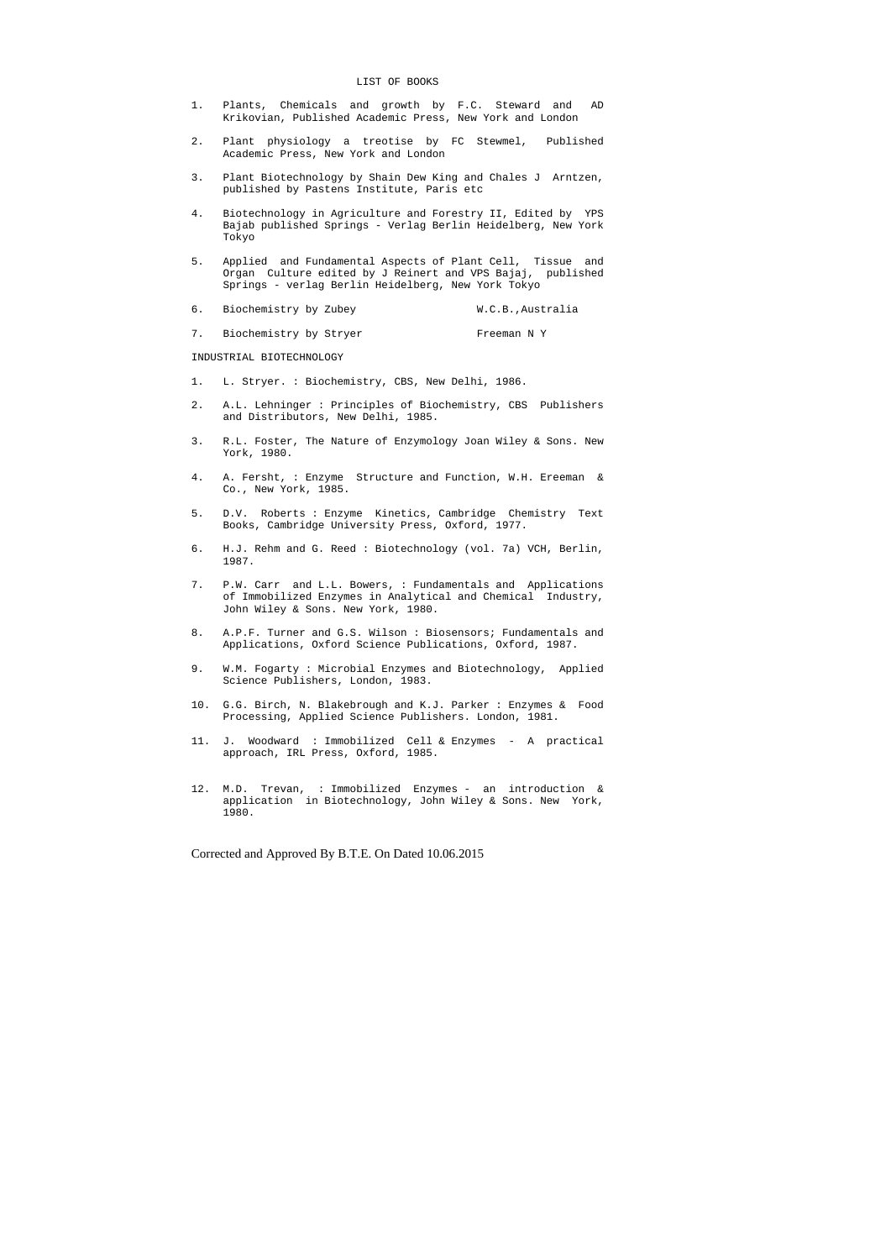- 1. Plants, Chemicals and growth by F.C. Steward and AD Krikovian, Published Academic Press, New York and London
- 2. Plant physiology a treotise by FC Stewmel, Published Academic Press, New York and London
- 3. Plant Biotechnology by Shain Dew King and Chales J Arntzen, published by Pastens Institute, Paris etc
- 4. Biotechnology in Agriculture and Forestry II, Edited by YPS Bajab published Springs - Verlag Berlin Heidelberg, New York Tokyo
- 5. Applied and Fundamental Aspects of Plant Cell, Tissue and Organ Culture edited by J Reinert and VPS Bajaj, published Springs - verlag Berlin Heidelberg, New York Tokyo
- 6. Biochemistry by Zubey M.C.B., Australia
- 7. Biochemistry by Stryer Freeman N Y

#### LIST OF BOOKS

INDUSTRIAL BIOTECHNOLOGY

- 1. L. Stryer. : Biochemistry, CBS, New Delhi, 1986.
- 2. A.L. Lehninger : Principles of Biochemistry, CBS Publishers and Distributors, New Delhi, 1985.
- 3. R.L. Foster, The Nature of Enzymology Joan Wiley & Sons. New York, 1980.
- 4. A. Fersht, : Enzyme Structure and Function, W.H. Ereeman & Co., New York, 1985.
- 5. D.V. Roberts : Enzyme Kinetics, Cambridge Chemistry Text Books, Cambridge University Press, Oxford, 1977.
- 6. H.J. Rehm and G. Reed : Biotechnology (vol. 7a) VCH, Berlin, 1987.
- 7. P.W. Carr and L.L. Bowers, : Fundamentals and Applications of Immobilized Enzymes in Analytical and Chemical Industry, John Wiley & Sons. New York, 1980.
- 8. A.P.F. Turner and G.S. Wilson : Biosensors; Fundamentals and Applications, Oxford Science Publications, Oxford, 1987.
- 9. W.M. Fogarty : Microbial Enzymes and Biotechnology, Applied Science Publishers, London, 1983.
- 10. G.G. Birch, N. Blakebrough and K.J. Parker : Enzymes & Food Processing, Applied Science Publishers. London, 1981.
- 11. J. Woodward : Immobilized Cell & Enzymes A practical approach, IRL Press, Oxford, 1985.
- 12. M.D. Trevan, : Immobilized Enzymes an introduction & application in Biotechnology, John Wiley & Sons. New York, 1980.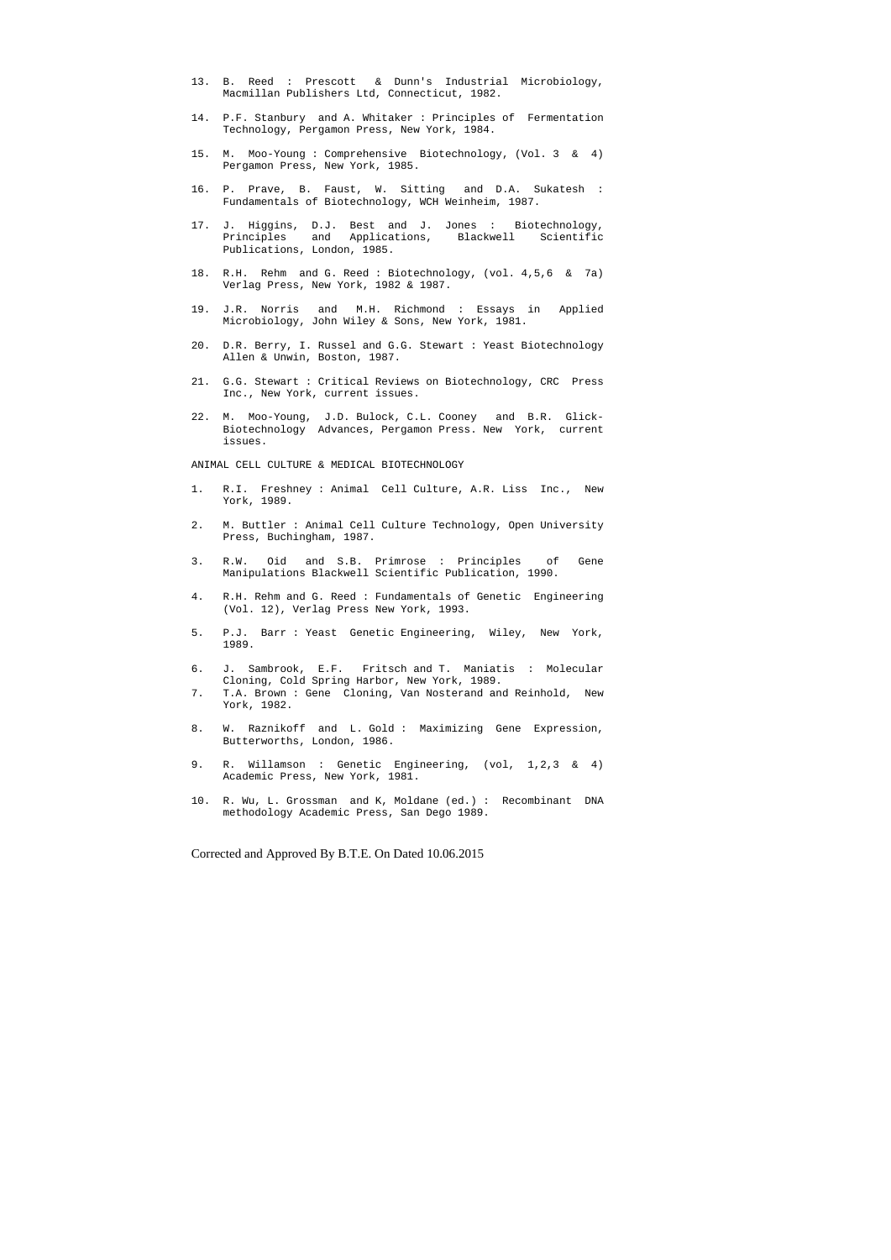- 13. B. Reed : Prescott & Dunn's Industrial Microbiology, Macmillan Publishers Ltd, Connecticut, 1982.
- 14. P.F. Stanbury and A. Whitaker : Principles of Fermentation Technology, Pergamon Press, New York, 1984.
- 15. M. Moo-Young : Comprehensive Biotechnology, (Vol. 3 & 4) Pergamon Press, New York, 1985.
- 16. P. Prave, B. Faust, W. Sitting and D.A. Sukatesh : Fundamentals of Biotechnology, WCH Weinheim, 1987.
- 17. J. Higgins, D.J. Best and J. Jones : Biotechnology, Principles and Applications, Blackwell Scientific Publications, London, 1985.
- 18. R.H. Rehm and G. Reed : Biotechnology, (vol. 4,5,6 & 7a) Verlag Press, New York, 1982 & 1987.
- 19. J.R. Norris and M.H. Richmond : Essays in Applied Microbiology, John Wiley & Sons, New York, 1981.
- 20. D.R. Berry, I. Russel and G.G. Stewart : Yeast Biotechnology Allen & Unwin, Boston, 1987.
- 21. G.G. Stewart : Critical Reviews on Biotechnology, CRC Press Inc., New York, current issues.
- 22. M. Moo-Young, J.D. Bulock, C.L. Cooney and B.R. Glick- Biotechnology Advances, Pergamon Press. New York, current issues.

ANIMAL CELL CULTURE & MEDICAL BIOTECHNOLOGY

- 1. R.I. Freshney : Animal Cell Culture, A.R. Liss Inc., New York, 1989.
- 2. M. Buttler : Animal Cell Culture Technology, Open University Press, Buchingham, 1987.
- 3. R.W. Oid and S.B. Primrose : Principles of Gene Manipulations Blackwell Scientific Publication, 1990.
- 4. R.H. Rehm and G. Reed : Fundamentals of Genetic Engineering (Vol. 12), Verlag Press New York, 1993.
- 5. P.J. Barr : Yeast Genetic Engineering, Wiley, New York, 1989.
- 6. J. Sambrook, E.F. Fritsch and T. Maniatis : Molecular Cloning, Cold Spring Harbor, New York, 1989.
- 7. T.A. Brown : Gene Cloning, Van Nosterand and Reinhold, New York, 1982.
- 8. W. Raznikoff and L. Gold : Maximizing Gene Expression, Butterworths, London, 1986.
- 9. R. Willamson : Genetic Engineering, (vol, 1,2,3 & 4) Academic Press, New York, 1981.
- 10. R. Wu, L. Grossman and K, Moldane (ed.) : Recombinant DNA methodology Academic Press, San Dego 1989.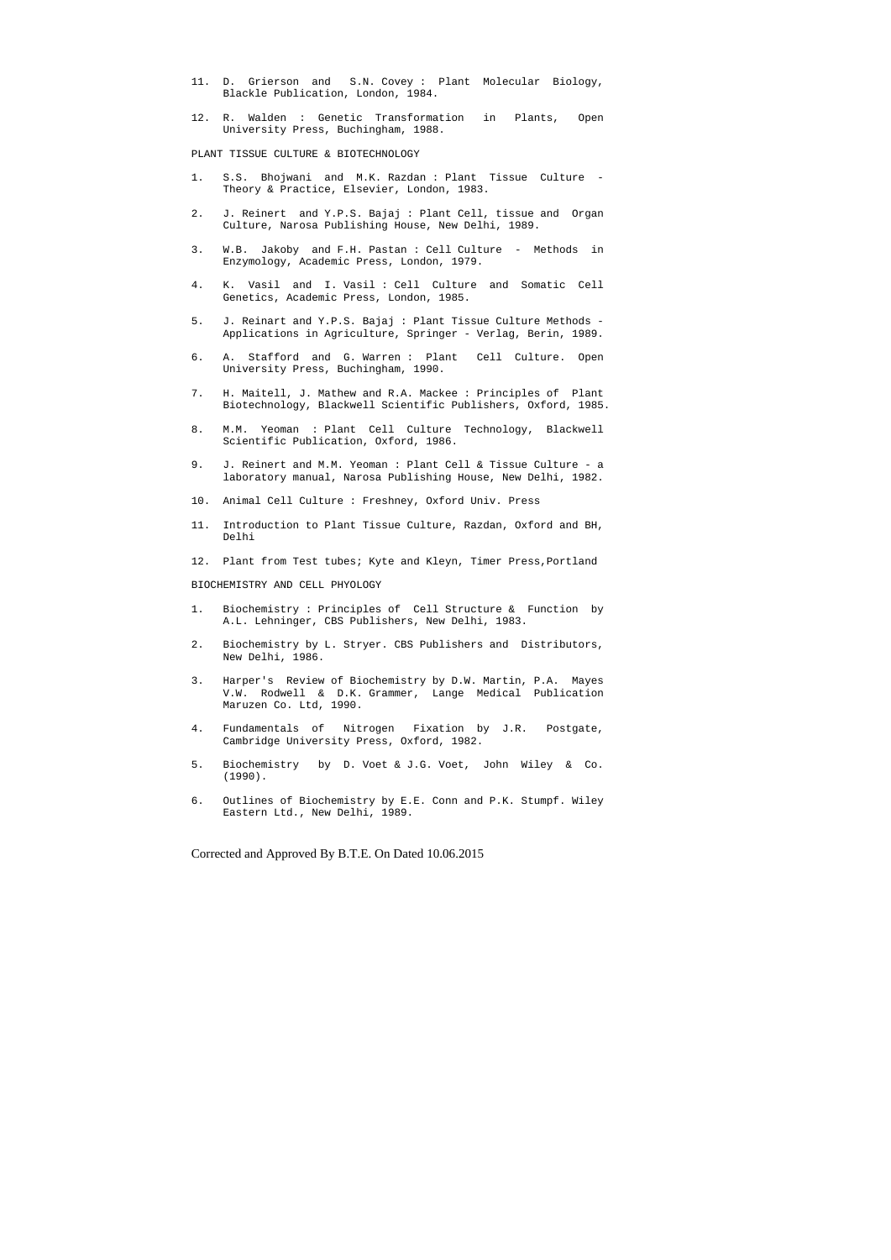- 11. D. Grierson and S.N. Covey : Plant Molecular Biology, Blackle Publication, London, 1984.
- 12. R. Walden : Genetic Transformation in Plants, Open University Press, Buchingham, 1988.

PLANT TISSUE CULTURE & BIOTECHNOLOGY

- 1. S.S. Bhojwani and M.K. Razdan : Plant Tissue Culture Theory & Practice, Elsevier, London, 1983.
- 2. J. Reinert and Y.P.S. Bajaj : Plant Cell, tissue and Organ Culture, Narosa Publishing House, New Delhi, 1989.
- 3. W.B. Jakoby and F.H. Pastan : Cell Culture Methods in Enzymology, Academic Press, London, 1979.
- 4. K. Vasil and I. Vasil : Cell Culture and Somatic Cell Genetics, Academic Press, London, 1985.
- 5. J. Reinart and Y.P.S. Bajaj : Plant Tissue Culture Methods Applications in Agriculture, Springer - Verlag, Berin, 1989.
- 6. A. Stafford and G. Warren : Plant Cell Culture. Open University Press, Buchingham, 1990.
- 7. H. Maitell, J. Mathew and R.A. Mackee : Principles of Plant Biotechnology, Blackwell Scientific Publishers, Oxford, 1985.
- 8. M.M. Yeoman : Plant Cell Culture Technology, Blackwell Scientific Publication, Oxford, 1986.
- 9. J. Reinert and M.M. Yeoman : Plant Cell & Tissue Culture a laboratory manual, Narosa Publishing House, New Delhi, 1982.
- 10. Animal Cell Culture : Freshney, Oxford Univ. Press
- 11. Introduction to Plant Tissue Culture, Razdan, Oxford and BH, Delhi
- 12. Plant from Test tubes; Kyte and Kleyn, Timer Press,Portland

BIOCHEMISTRY AND CELL PHYOLOGY

- 1. Biochemistry : Principles of Cell Structure & Function by A.L. Lehninger, CBS Publishers, New Delhi, 1983.
- 2. Biochemistry by L. Stryer. CBS Publishers and Distributors, New Delhi, 1986.
- 3. Harper's Review of Biochemistry by D.W. Martin, P.A. Mayes V.W. Rodwell & D.K. Grammer, Lange Medical Publication Maruzen Co. Ltd, 1990.
- 4. Fundamentals of Nitrogen Fixation by J.R. Postgate, Cambridge University Press, Oxford, 1982.
- 5. Biochemistry by D. Voet & J.G. Voet, John Wiley & Co. (1990).
- 6. Outlines of Biochemistry by E.E. Conn and P.K. Stumpf. Wiley Eastern Ltd., New Delhi, 1989.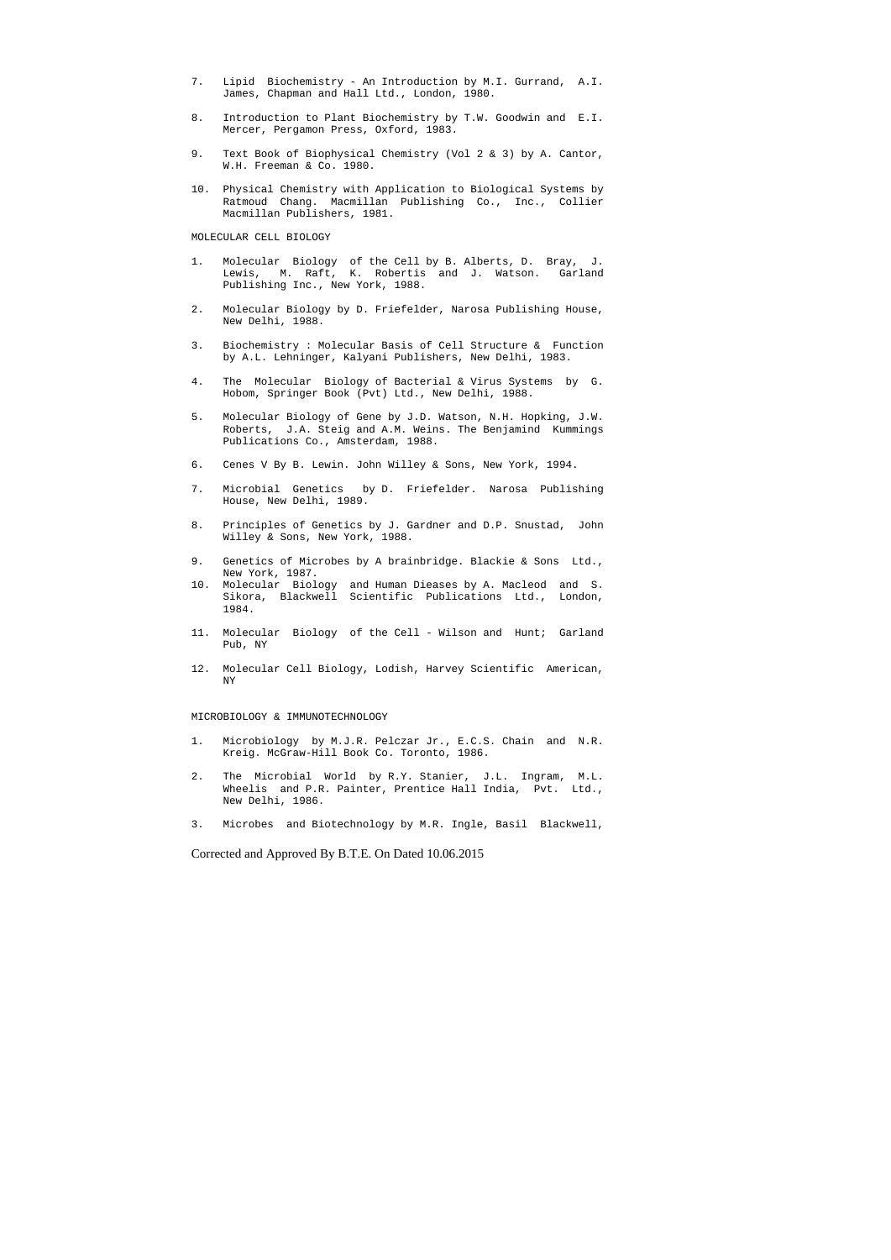- 7. Lipid Biochemistry An Introduction by M.I. Gurrand, A.I. James, Chapman and Hall Ltd., London, 1980.
- 8. Introduction to Plant Biochemistry by T.W. Goodwin and E.I. Mercer, Pergamon Press, Oxford, 1983.
- 9. Text Book of Biophysical Chemistry (Vol 2 & 3) by A. Cantor, W.H. Freeman & Co. 1980.
- 10. Physical Chemistry with Application to Biological Systems by Ratmoud Chang. Macmillan Publishing Co., Inc., Collier Macmillan Publishers, 1981.

MOLECULAR CELL BIOLOGY

- 1. Molecular Biology of the Cell by B. Alberts, D. Bray, J. Lewis, M. Raft, K. Robertis and J. Watson. Garland Publishing Inc., New York, 1988.
- 2. Molecular Biology by D. Friefelder, Narosa Publishing House, New Delhi, 1988.
- 3. Biochemistry : Molecular Basis of Cell Structure & Function by A.L. Lehninger, Kalyani Publishers, New Delhi, 1983.
- 4. The Molecular Biology of Bacterial & Virus Systems by G. Hobom, Springer Book (Pvt) Ltd., New Delhi, 1988.
- 5. Molecular Biology of Gene by J.D. Watson, N.H. Hopking, J.W. Roberts, J.A. Steig and A.M. Weins. The Benjamind Kummings Publications Co., Amsterdam, 1988.
- 6. Cenes V By B. Lewin. John Willey & Sons, New York, 1994.
- 7. Microbial Genetics by D. Friefelder. Narosa Publishing House, New Delhi, 1989.
- 8. Principles of Genetics by J. Gardner and D.P. Snustad, John Willey & Sons, New York, 1988.
- 9. Genetics of Microbes by A brainbridge. Blackie & Sons Ltd., New York, 1987.
- 10. Molecular Biology and Human Dieases by A. Macleod and S. Sikora, Blackwell Scientific Publications Ltd., London, 1984.
- 11. Molecular Biology of the Cell Wilson and Hunt; Garland Pub, NY
- 12. Molecular Cell Biology, Lodish, Harvey Scientific American, NY

MICROBIOLOGY & IMMUNOTECHNOLOGY

- 1. Microbiology by M.J.R. Pelczar Jr., E.C.S. Chain and N.R. Kreig. McGraw-Hill Book Co. Toronto, 1986.
- 2. The Microbial World by R.Y. Stanier, J.L. Ingram, M.L. Wheelis and P.R. Painter, Prentice Hall India, Pvt. Ltd., New Delhi, 1986.
- 3. Microbes and Biotechnology by M.R. Ingle, Basil Blackwell,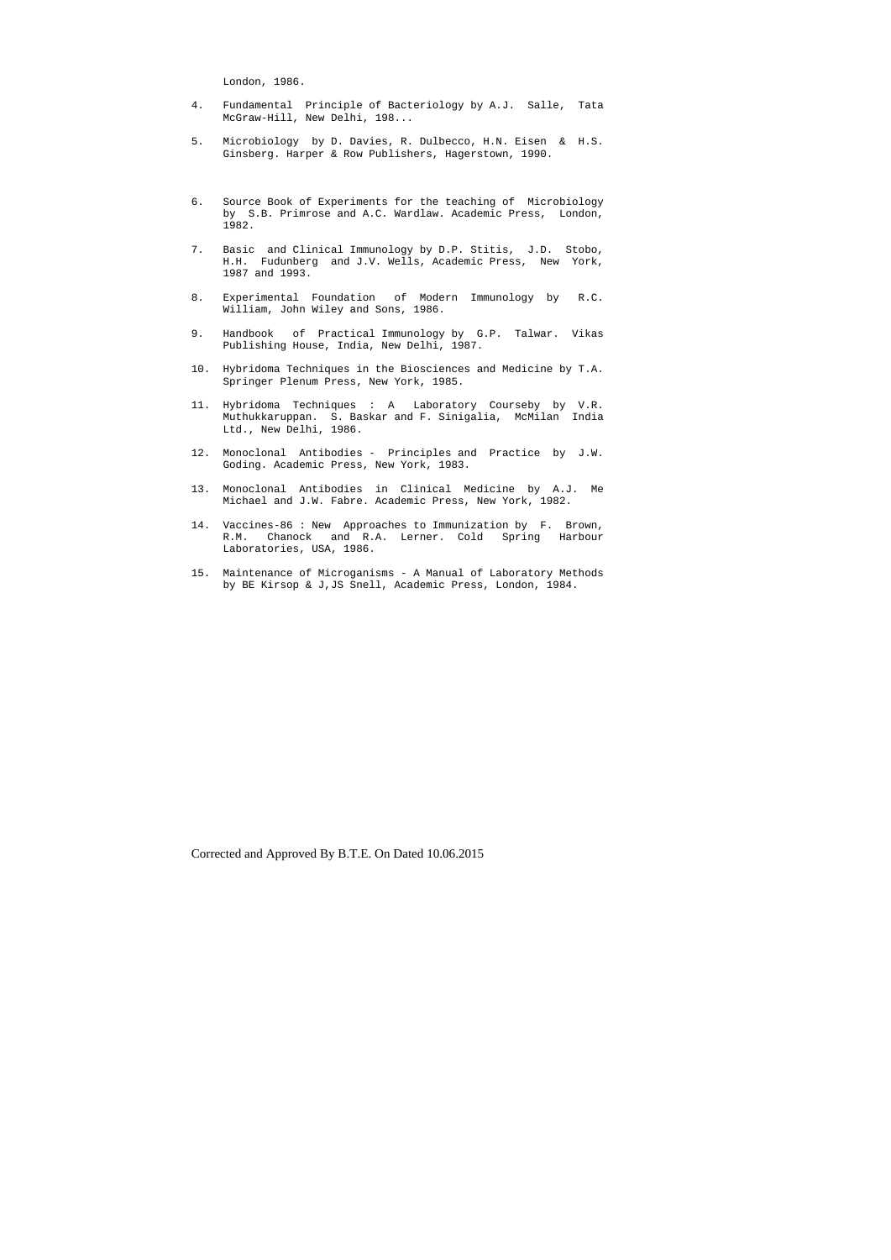London, 1986.

- 4. Fundamental Principle of Bacteriology by A.J. Salle, Tata McGraw-Hill, New Delhi, 198...
- 5. Microbiology by D. Davies, R. Dulbecco, H.N. Eisen & H.S. Ginsberg. Harper & Row Publishers, Hagerstown, 1990.
- 6. Source Book of Experiments for the teaching of Microbiology by S.B. Primrose and A.C. Wardlaw. Academic Press, London, 1982.
- 7. Basic and Clinical Immunology by D.P. Stitis, J.D. Stobo, H.H. Fudunberg and J.V. Wells, Academic Press, New York, 1987 and 1993.
- 8. Experimental Foundation of Modern Immunology by R.C. William, John Wiley and Sons, 1986.
- 9. Handbook of Practical Immunology by G.P. Talwar. Vikas Publishing House, India, New Delhi, 1987.
- 10. Hybridoma Techniques in the Biosciences and Medicine by T.A. Springer Plenum Press, New York, 1985.
- 11. Hybridoma Techniques : A Laboratory Courseby by V.R. Muthukkaruppan. S. Baskar and F. Sinigalia, McMilan India Ltd., New Delhi, 1986.
- 12. Monoclonal Antibodies Principles and Practice by J.W. Goding. Academic Press, New York, 1983.
- 13. Monoclonal Antibodies in Clinical Medicine by A.J. Me Michael and J.W. Fabre. Academic Press, New York, 1982.
- 14. Vaccines-86 : New Approaches to Immunization by F. Brown, R.M. Chanock and R.A. Lerner. Cold Spring Harbour Laboratories, USA, 1986.
- 15. Maintenance of Microganisms A Manual of Laboratory Methods by BE Kirsop & J,JS Snell, Academic Press, London, 1984.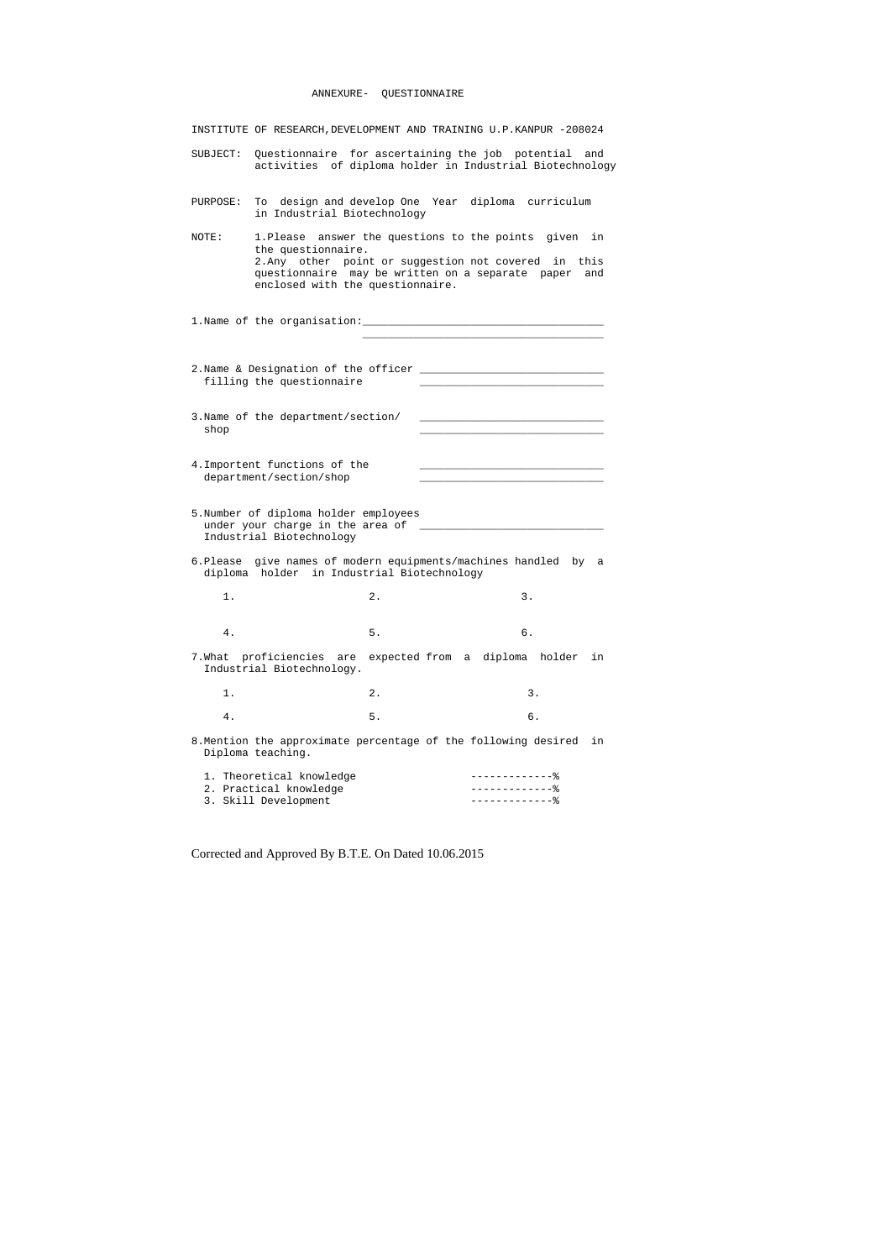|          | INSTITUTE OF RESEARCH, DEVELOPMENT AND TRAINING U.P.KANPUR -208024                                                                                                                                                          |    |                                |                                                        |     |
|----------|-----------------------------------------------------------------------------------------------------------------------------------------------------------------------------------------------------------------------------|----|--------------------------------|--------------------------------------------------------|-----|
| SUBJECT: | Questionnaire for ascertaining the job potential and<br>activities of diploma holder in Industrial Biotechnology                                                                                                            |    |                                |                                                        |     |
| PURPOSE: | To design and develop One Year diploma curriculum<br>in Industrial Biotechnology                                                                                                                                            |    |                                |                                                        |     |
| NOTE:    | 1. Please answer the questions to the points given in<br>the questionnaire.<br>2. Any other point or suggestion not covered in this<br>questionnaire may be written on a separate paper<br>enclosed with the questionnaire. |    |                                |                                                        | and |
|          |                                                                                                                                                                                                                             |    |                                |                                                        |     |
|          | 2. Name & Designation of the officer<br>filling the questionnaire                                                                                                                                                           |    |                                |                                                        |     |
| shop     | 3. Name of the department/section/                                                                                                                                                                                          |    |                                |                                                        |     |
|          | 4. Importent functions of the<br>department/section/shop                                                                                                                                                                    |    |                                |                                                        |     |
|          | 5. Number of diploma holder employees<br>under your charge in the area of _________________<br>Industrial Biotechnology                                                                                                     |    |                                |                                                        |     |
|          | 6. Please give names of modern equipments/machines handled by a<br>diploma holder in Industrial Biotechnology                                                                                                               |    |                                |                                                        |     |
| 1.       |                                                                                                                                                                                                                             | 2. |                                | 3.                                                     |     |
| 4.       |                                                                                                                                                                                                                             | 5. |                                | б.                                                     |     |
|          | 7. What proficiencies are<br>Industrial Biotechnology.                                                                                                                                                                      |    | expected from a diploma holder |                                                        | in  |
| 1.       |                                                                                                                                                                                                                             | 2. |                                | 3.                                                     |     |
| $4$ .    |                                                                                                                                                                                                                             | 5. |                                | б.                                                     |     |
|          | 8. Mention the approximate percentage of the following desired<br>Diploma teaching.                                                                                                                                         |    |                                |                                                        | in  |
|          | 1. Theoretical knowledge<br>2. Practical knowledge<br>3. Skill Development                                                                                                                                                  |    |                                | $------------8$<br>$---------------$<br>-------------% |     |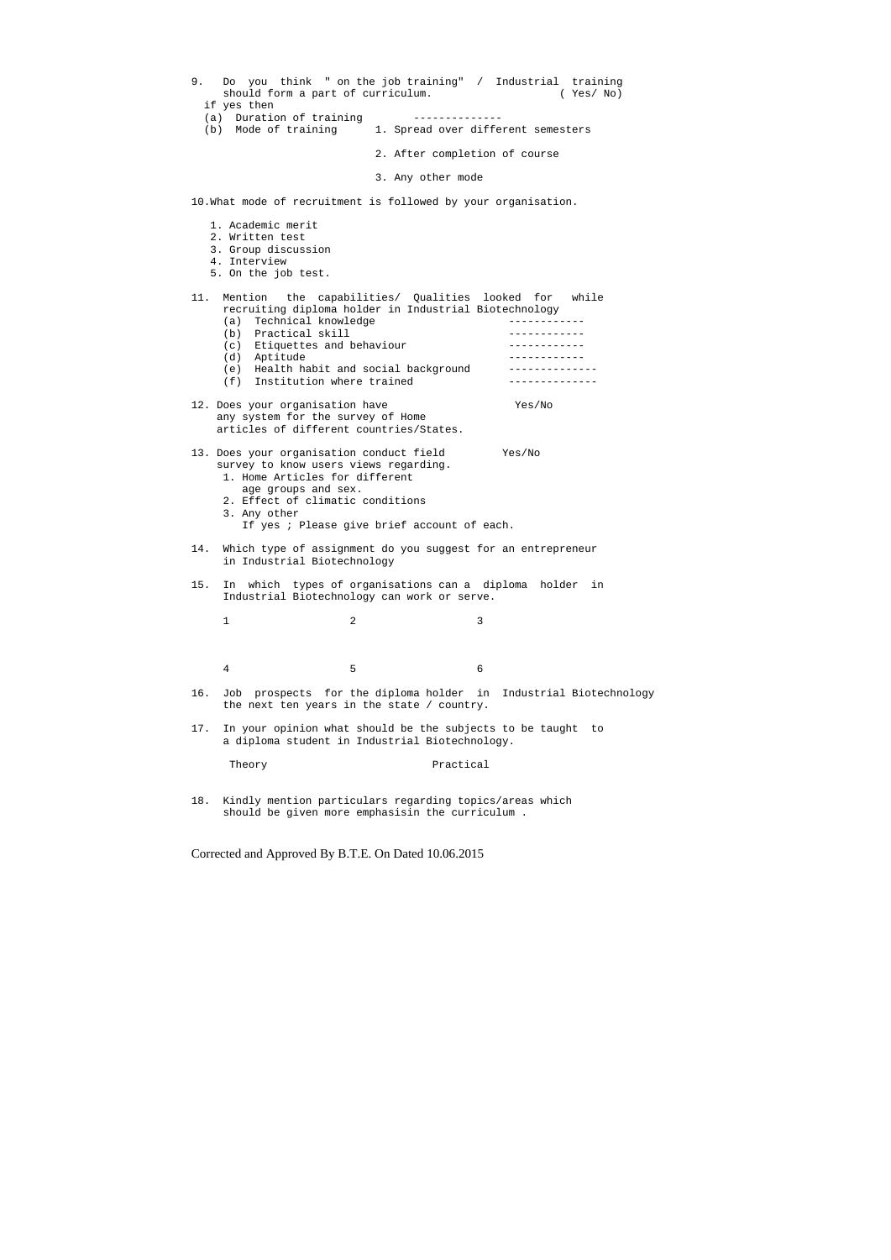| Do you think " on the job training" / Industrial training<br>9.<br>should form a part of curriculum.<br>if yes then                                                                                                                           |                                                      |            | (Yes/No)                 |
|-----------------------------------------------------------------------------------------------------------------------------------------------------------------------------------------------------------------------------------------------|------------------------------------------------------|------------|--------------------------|
| (a) Duration of training<br>(b) Mode of training                                                                                                                                                                                              | --------------<br>1. Spread over different semesters |            |                          |
|                                                                                                                                                                                                                                               | 2. After completion of course                        |            |                          |
|                                                                                                                                                                                                                                               | 3. Any other mode                                    |            |                          |
| 10. What mode of recruitment is followed by your organisation.                                                                                                                                                                                |                                                      |            |                          |
| 1. Academic merit<br>2. Written test<br>3. Group discussion<br>4. Interview<br>5. On the job test.                                                                                                                                            |                                                      |            |                          |
| 11.<br>Mention the capabilities/ Qualities looked for while<br>recruiting diploma holder in Industrial Biotechnology<br>(a) Technical knowledge                                                                                               |                                                      |            |                          |
| (b) Practical skill                                                                                                                                                                                                                           |                                                      | . <u>.</u> |                          |
| (c) Etiquettes and behaviour<br>(d) Aptitude                                                                                                                                                                                                  |                                                      |            |                          |
| (e) Health habit and social background<br>(f) Institution where trained                                                                                                                                                                       |                                                      |            |                          |
| 12. Does your organisation have<br>any system for the survey of Home<br>articles of different countries/States.                                                                                                                               |                                                      | Yes/No     |                          |
| 13. Does your organisation conduct field<br>survey to know users views regarding.<br>1. Home Articles for different<br>age groups and sex.<br>2. Effect of climatic conditions<br>3. Any other<br>If yes ; Please give brief account of each. |                                                      | Yes/No     |                          |
| 14. Which type of assignment do you suggest for an entrepreneur<br>in Industrial Biotechnology                                                                                                                                                |                                                      |            |                          |
| 15.<br>which types of organisations can a diploma<br>In<br>Industrial Biotechnology can work or serve.                                                                                                                                        |                                                      | holder     | in                       |
| $\overline{a}$<br>$\mathbf 1$                                                                                                                                                                                                                 |                                                      | 3          |                          |
| 5<br>4                                                                                                                                                                                                                                        |                                                      | 6          |                          |
| 16.<br>Job prospects for the diploma holder in<br>the next ten years in the state / country.                                                                                                                                                  |                                                      |            | Industrial Biotechnology |
| 17.<br>In your opinion what should be the subjects to be taught<br>a diploma student in Industrial Biotechnology.                                                                                                                             |                                                      |            | to to                    |
| Theory                                                                                                                                                                                                                                        | Practical                                            |            |                          |

18. Kindly mention particulars regarding topics/areas which should be given more emphasisin the curriculum .